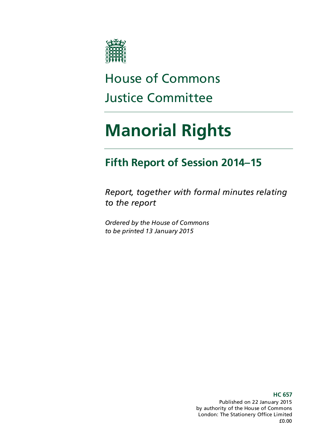

# House of Commons Justice Committee

# **Manorial Rights**

### **Fifth Report of Session 2014–15**

*Report, together with formal minutes relating to the report*

*Ordered by the House of Commons to be printed 13 January 2015*

> Published on 22 January 2015 by authority of the House of Commons London: The Stationery Office Limited £0.00

#### **HC 657**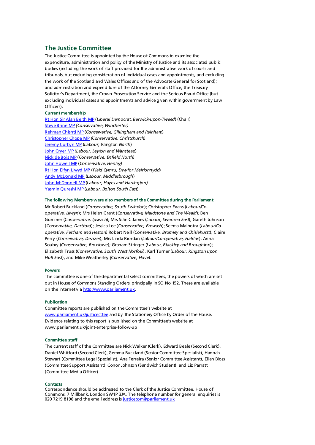#### **The Justice Committee**

The Justice Committee is appointed by the House of Commons to examine the expenditure, administration and policy of the Ministry of Justice and its associated public bodies (including the work of staff provided for the administrative work of courts and tribunals, but excluding consideration of individual cases and appointments, and excluding the work of the Scotland and Wales Offices and of the Advocate General for Scotland); and administration and expenditure of the Attorney General's Office, the Treasury Solicitor's Department, the Crown Prosecution Service and the Serious Fraud Office (but excluding individual cases and appointments and advice given within government by Law Officers).

#### **Current membership**

[Rt Hon Sir Alan Beith MP](http://www.parliament.uk/biographies/commons/Sir-Alan-Beith/513) (*Liberal Democrat, Berwick-upon-Tweed*) (Chair) [Steve Brine MP](http://www.parliament.uk/biographies/commons/Steve-Brine/4067) *(Conservative, Winchester)* [Rehman Chishti MP](http://www.parliament.uk/biographies/commons/Rehman-Chishti/3987) (*Conservative, Gillingham and Rainham*) [Christopher Chope MP](http://www.parliament.uk/biographies/commons/mr-christopher-chope/242) *(Conservative, Christchurch)* [Jeremy Corbyn MP](http://www.parliament.uk/biographies/commons/Jeremy-Corbyn/185) (*Labour,* Islington *North*) [John Cryer MP](http://www.parliament.uk/biographies/commons/john-cryer/181) *(Labour, Leyton and Wanstead*) [Nick de Bois MP](http://www.parliament.uk/biographies/commons/Nick-de-Bois/4002) (*Conservative, Enfield North)* [John Howell MP](http://www.parliament.uk/biographies/commons/john-howell/1606) (*Conservative, Henley)* [Rt Hon Elfyn Llwyd MP](http://www.parliament.uk/biographies/commons/Mr-Elfyn-Llwyd/549) (*Plaid Cymru, Dwyfor Meirionnydd*) [Andy McDonald MP](http://www.parliament.uk/biographies/commons/Andy-McDonald/4269) (*Labour, Middlesbrough*) [John McDonnell MP](http://www.parliament.uk/biographies/commons/John-McDonnell/178) (*Labour*, *Hayes and Harlington)* [Yasmin Qureshi MP](http://www.parliament.uk/biographies/commons/Yasmin-Qureshi/3924) (*Labour, Bolton South East*)

#### **The following Members were also members of the Committee during the Parliament:**

Mr Robert Buckland (*Conservative, South Swindon*); Christopher Evans (*Labour/Cooperative, Islwyn*); Mrs Helen Grant (*Conservative, Maidstone and The Weald*); Ben Gummer (*Conservative, Ipswich*); Mrs Siân C James (*Labour, Swansea East*); Gareth Johnson (*Conservative, Dartford*); Jessica Lee (*Conservative, Erewash*); Seema Malhotra (*Labour/Cooperative, Feltham and Heston)* Robert Neill (*Conservative, Bromley and Chislehurst*); Claire Perry (*Conservative, Devizes*); Mrs Linda Riordan (*Labour/Co-operative, Halifax*), Anna Soubry (*Conservative*, *Broxtowe*); Graham Stringer (*Labour, Blackley and Broughton*); Elizabeth Truss (*Conservative, South West Norfolk*), Karl Turner (*Labour, Kingston upon Hull East*), and Mike Weatherley *(Conservative, Hove*).

#### **Powers**

The committee is one of the departmental select committees, the powers of which are set out in House of Commons Standing Orders, principally in SO No 152. These are available on the internet vi[a http://www.parliament.uk.](http://www.parliament.uk/)

#### **Publication**

Committee reports are published on the Committee's website at [www.parliament.uk/justicecttee](http://www.parliament.uk/justicecttee) and by The Stationery Office by Order of the House. Evidence relating to this report is published on the Committee's website at www.parliament.uk/joint-enterprise-follow-up

#### **Committee staff**

The current staff of the Committee are Nick Walker (Clerk), Edward Beale (Second Clerk), Daniel Whitford (Second Clerk), Gemma Buckland (Senior Committee Specialist), Hannah Stewart (Committee Legal Specialist), Ana Ferreira (Senior Committee Assistant), Ellen Bloss (Committee Support Assistant), Conor Johnson (Sandwich Student), and Liz Parratt (Committee Media Officer).

#### **Contacts**

Correspondence should be addressed to the Clerk of the Justice Committee, House of Commons, 7 Millbank, London SW1P 3JA. The telephone number for general enquiries is 020 7219 8196 and the email address i[s justicecom@parliament.uk](mailto:justicecom@parliament.uk)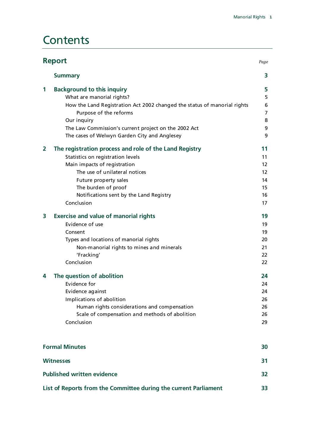### **Contents**

| <b>Report</b><br>Page             |                                                                          |                   |  |
|-----------------------------------|--------------------------------------------------------------------------|-------------------|--|
|                                   | <b>Summary</b>                                                           | 3                 |  |
| 1                                 | <b>Background to this inquiry</b>                                        | 5                 |  |
|                                   | What are manorial rights?                                                | 5                 |  |
|                                   | How the Land Registration Act 2002 changed the status of manorial rights | 6                 |  |
|                                   | Purpose of the reforms                                                   | $\overline{7}$    |  |
|                                   | Our inquiry                                                              | 8                 |  |
|                                   | The Law Commission's current project on the 2002 Act                     | 9                 |  |
|                                   | The cases of Welwyn Garden City and Anglesey                             | 9                 |  |
| 2                                 | The registration process and role of the Land Registry                   | 11                |  |
|                                   | Statistics on registration levels                                        | 11                |  |
|                                   | Main impacts of registration                                             | 12                |  |
|                                   | The use of unilateral notices                                            | $12 \overline{ }$ |  |
|                                   | Future property sales                                                    | 14                |  |
|                                   | The burden of proof                                                      | 15                |  |
|                                   | Notifications sent by the Land Registry                                  | 16                |  |
|                                   | Conclusion                                                               | 17                |  |
| 3                                 | <b>Exercise and value of manorial rights</b>                             | 19                |  |
|                                   | Evidence of use                                                          | 19                |  |
|                                   | Consent                                                                  | 19                |  |
|                                   | Types and locations of manorial rights                                   | 20                |  |
|                                   | Non-manorial rights to mines and minerals                                | 21                |  |
|                                   | 'Fracking'                                                               | 22                |  |
|                                   | Conclusion                                                               | 22                |  |
| 4                                 | The question of abolition                                                | 24                |  |
|                                   | Evidence for                                                             | 24                |  |
|                                   | Evidence against                                                         | 24                |  |
|                                   | Implications of abolition                                                | 26                |  |
|                                   | Human rights considerations and compensation                             | 26                |  |
|                                   | Scale of compensation and methods of abolition                           | 26                |  |
|                                   | Conclusion                                                               | 29                |  |
|                                   | <b>Formal Minutes</b>                                                    | 30                |  |
|                                   | <b>Witnesses</b>                                                         |                   |  |
| <b>Published written evidence</b> |                                                                          |                   |  |
|                                   | List of Reports from the Committee during the current Parliament         | 33                |  |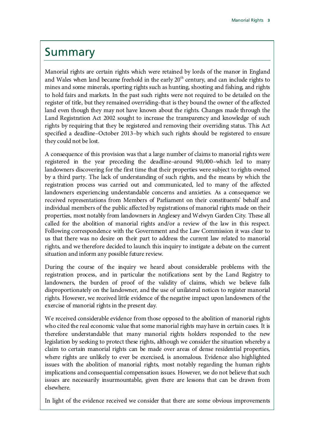### <span id="page-6-0"></span>Summary

Manorial rights are certain rights which were retained by lords of the manor in England and Wales when land became freehold in the early  $20<sup>th</sup>$  century, and can include rights to mines and some minerals, sporting rights such as hunting, shooting and fishing, and rights to hold fairs and markets. In the past such rights were not required to be detailed on the register of title, but they remained overriding–that is they bound the owner of the affected land even though they may not have known about the rights. Changes made through the Land Registration Act 2002 sought to increase the transparency and knowledge of such rights by requiring that they be registered and removing their overriding status. This Act specified a deadline–October 2013–by which such rights should be registered to ensure they could not be lost.

A consequence of this provision was that a large number of claims to manorial rights were registered in the year preceding the deadline–around 90,000–which led to many landowners discovering for the first time that their properties were subject to rights owned by a third party. The lack of understanding of such rights, and the means by which the registration process was carried out and communicated, led to many of the affected landowners experiencing understandable concerns and anxieties. As a consequence we received representations from Members of Parliament on their constituents' behalf and individual members of the public affected by registrations of manorial rights made on their properties, most notably from landowners in Anglesey and Welwyn Garden City. These all called for the abolition of manorial rights and/or a review of the law in this respect. Following correspondence with the Government and the Law Commission it was clear to us that there was no desire on their part to address the current law related to manorial rights, and we therefore decided to launch this inquiry to instigate a debate on the current situation and inform any possible future review.

During the course of the inquiry we heard about considerable problems with the registration process, and in particular the notifications sent by the Land Registry to landowners, the burden of proof of the validity of claims, which we believe falls disproportionately on the landowner, and the use of unilateral notices to register manorial rights. However, we received little evidence of the negative impact upon landowners of the exercise of manorial rights in the present day.

We received considerable evidence from those opposed to the abolition of manorial rights who cited the real economic value that some manorial rights may have in certain cases. It is therefore understandable that many manorial rights holders responded to the new legislation by seeking to protect these rights, although we consider the situation whereby a claim to certain manorial rights can be made over areas of dense residential properties, where rights are unlikely to ever be exercised, is anomalous. Evidence also highlighted issues with the abolition of manorial rights, most notably regarding the human rights implications and consequential compensation issues. However, we do not believe that such issues are necessarily insurmountable, given there are lessons that can be drawn from elsewhere.

In light of the evidence received we consider that there are some obvious improvements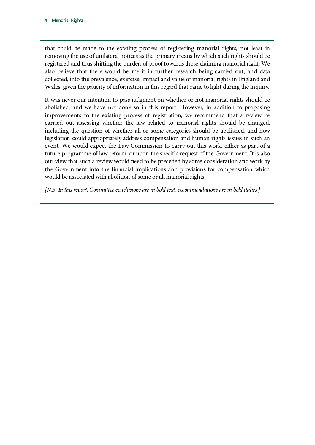that could be made to the existing process of registering manorial rights, not least in removing the use of unilateral notices as the primary means by which such rights should be registered and thus shifting the burden of proof towards those claiming manorial right. We also believe that there would be merit in further research being carried out, and data collected, into the prevalence, exercise, impact and value of manorial rights in England and Wales, given the paucity of information in this regard that came to light during the inquiry.

It was never our intention to pass judgment on whether or not manorial rights should be abolished, and we have not done so in this report. However, in addition to proposing improvements to the existing process of registration, we recommend that a review be carried out assessing whether the law related to manorial rights should be changed, including the question of whether all or some categories should be abolished, and how legislation could appropriately address compensation and human rights issues in such an event. We would expect the Law Commission to carry out this work, either as part of a future programme of law reform, or upon the specific request of the Government. It is also our view that such a review would need to be preceded by some consideration and work by the Government into the financial implications and provisions for compensation which would be associated with abolition of some or all manorial rights.

*[N.B. In this report, Committee conclusions are in bold text, recommendations are in bold italics.]*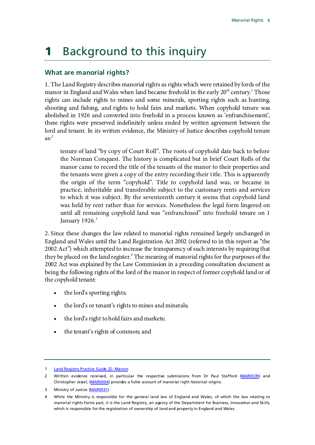# <span id="page-8-0"></span>**1** Background to this inquiry

#### <span id="page-8-1"></span>**What are manorial rights?**

1. The Land Registry describes manorial rights as rights which were retained by lords of the manor in England and Wales when land became freehold in the early 20<sup>th</sup> century.<sup>[1](#page-8-2)</sup> Those rights can include rights to mines and some minerals, sporting rights such as hunting, shooting and fishing, and rights to hold fairs and markets. When copyhold tenure was abolished in 1926 and converted into freehold in a process known as 'enfranchisement', these rights were preserved indefinitely unless ended by written agreement between the lord and tenant. In its written evidence, the Ministry of Justice describes copyhold tenure  $\text{as:}^2$  $\text{as:}^2$ 

tenure of land "by copy of Court Roll". The roots of copyhold date back to before the Norman Conquest. The history is complicated but in brief Court Rolls of the manor came to record the title of the tenants of the manor to their properties and the tenants were given a copy of the entry recording their title. This is apparently the origin of the term "copyhold". Title to copyhold land was, or became in practice, inheritable and transferable subject to the customary rents and services to which it was subject. By the seventeenth century it seems that copyhold land was held by rent rather than for services. Nonetheless the legal form lingered on until all remaining copyhold land was "enfranchised" into freehold tenure on 1 January  $1926$ <sup>[3](#page-8-4)</sup>

2. Since these changes the law related to manorial rights remained largely unchanged in England and Wales until the Land Registration Act 2002 (referred to in this report as "the 2002 Act") which attempted to increase the transparency of such interests by requiring that they be placed on the land register.<sup>[4](#page-8-5)</sup> The meaning of manorial rights for the purposes of the 2002 Act was explained by the Law Commission in a preceding consultation document as being the following rights of the lord of the manor in respect of former copyhold land or of the copyhold tenant:

- the lord's sporting rights;
- the lord's or tenant's rights to mines and minerals;
- the lord's right to hold fairs and markets;
- the tenant's rights of common; and

<span id="page-8-2"></span><sup>1</sup> [Land Registry Practice Guide 22: Manors](https://www.gov.uk/government/publications/manors)

<span id="page-8-3"></span><sup>2</sup> Written evidence received, in particular the respective submissions from Dr Paul Stafford [\(MAR0039\)](http://data.parliament.uk/WrittenEvidence/CommitteeEvidence.svc/EvidenceDocument/Justice/Manorial%20rights/written/14866.html) and Christopher Jessel, [\(MAR0004\)](http://data.parliament.uk/WrittenEvidence/CommitteeEvidence.svc/EvidenceDocument/Justice/Manorial%20rights/written/11655.html) provides a fuller account of manorial right historical origins.

<span id="page-8-4"></span><sup>3</sup> Ministry of Justice [\(MAR0031\)](http://data.parliament.uk/WrittenEvidence/CommitteeEvidence.svc/EvidenceDocument/Justice/Manorial%20rights/written/12513.html)

<span id="page-8-5"></span><sup>4</sup> While the Ministry is responsible for the general land law of England and Wales, of which the law relating to manorial rights forms part, it is the Land Registry, an agency of the Department for Business, Innovation and Skills, which is responsible for the registration of ownership of land and property in England and Wales.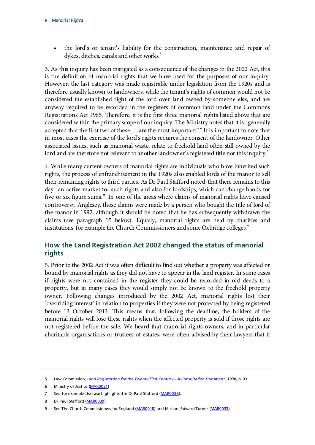• the lord's or tenant's liability for the construction, maintenance and repair of dykes, ditches, canals and other works.<sup>[5](#page-9-1)</sup>

3. As this inquiry has been instigated as a consequence of the changes in the 2002 Act, this is the definition of manorial rights that we have used for the purposes of our inquiry. However, the last category was made registrable under legislation from the 1920s and is therefore usually known to landowners, while the tenant's rights of common would not be considered the established right of the lord over land owned by someone else, and are anyway required to be recorded in the registers of common land under the Commons Registrations Act 1965. Therefore, it is the first three manorial rights listed above that are considered within the primary scope of our inquiry. The Ministry notes that it is "generally accepted that the first two of these … are the most important". [6](#page-9-2) It is important to note that in most cases the exercise of the lord's rights requires the consent of the landowner. Other associated issues, such as manorial waste, relate to freehold land often still owned by the lord and are therefore not relevant to another landowner's registered title nor this inquiry.<sup>[7](#page-9-3)</sup>

4. While many current owners of manorial rights are individuals who have inherited such rights, the process of enfranchisement in the 1920s also enabled lords of the manor to sell their remaining rights to third parties. As Dr Paul Stafford noted, that there remains to this day "an active market for such rights and also for lordships, which can change hands for five or six figure sums.["8](#page-9-4) In one of the areas where claims of manorial rights have caused controversy, Anglesey, those claims were made by a person who bought the title of lord of the manor in 1992, although it should be noted that he has subsequently withdrawn the claims (see paragraph 15 below). Equally, manorial rights are held by charities and institutions, for example the Church Commissioners and some Oxbridge colleges.<sup>[9](#page-9-5)</sup>

### <span id="page-9-0"></span>**How the Land Registration Act 2002 changed the status of manorial rights**

5. Prior to the 2002 Act it was often difficult to find out whether a property was affected or bound by manorial rights as they did not have to appear in the land register. In some cases if rights were not contained in the register they could be recorded in old deeds to a property, but in many cases they would simply not be known to the freehold property owner. Following changes introduced by the 2002 Act, manorial rights lost their 'overriding interest' in relation to properties if they were not protected by being registered before 13 October 2013. This means that, following the deadline, the holders of the manorial rights will lose these rights when the affected property is sold if those rights are not registered before the sale. We heard that manorial rights owners, and in particular charitable organisations or trustees of estates, were often advised by their lawyers that it

<span id="page-9-1"></span><sup>5</sup> Law Commission, *[Land Registration for the Twenty-First Century –](http://lawcommission.justice.gov.uk/docs/lc254_land_registration_for_21st_century_consultative.pdf) A Consultation Document*, 1998, p103

<span id="page-9-2"></span><sup>6</sup> Ministry of Justice [\(MAR0031\)](http://data.parliament.uk/WrittenEvidence/CommitteeEvidence.svc/EvidenceDocument/Justice/Manorial%20rights/written/12513.html)

<span id="page-9-3"></span><sup>7</sup> See for example the case highlighted in Dr Paul Stafford [\(MAR0039\)](http://data.parliament.uk/WrittenEvidence/CommitteeEvidence.svc/EvidenceDocument/Justice/Manorial%20rights/written/14866.html).

<span id="page-9-4"></span><sup>8</sup> Dr Paul Stafford [\(MAR0039\)](http://data.parliament.uk/WrittenEvidence/CommitteeEvidence.svc/EvidenceDocument/Justice/Manorial%20rights/written/14866.html)

<span id="page-9-5"></span><sup>9</sup> See The Church Commissioners for England [\(MAR0018\)](http://data.parliament.uk/WrittenEvidence/CommitteeEvidence.svc/EvidenceDocument/Justice/Manorial%20rights/written/12162.html) and Michael Edward Turner [\(MAR0033\)](http://data.parliament.uk/WrittenEvidence/CommitteeEvidence.svc/EvidenceDocument/Justice/Manorial%20rights/written/12806.html)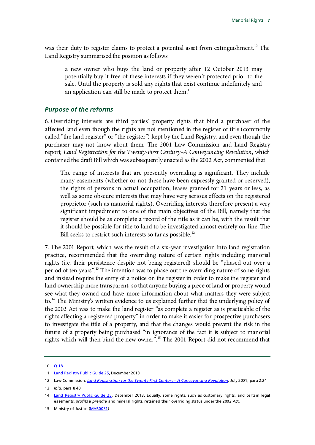was their duty to register claims to protect a potential asset from extinguishment.<sup>[10](#page-10-1)</sup> The Land Registry summarised the position as follows:

a new owner who buys the land or property after 12 October 2013 may potentially buy it free of these interests if they weren't protected prior to the sale. Until the property is sold any rights that exist continue indefinitely and an application can still be made to protect them. $<sup>11</sup>$ </sup>

#### <span id="page-10-0"></span>*Purpose of the reforms*

6. Overriding interests are third parties' property rights that bind a purchaser of the affected land even though the rights are not mentioned in the register of title (commonly called "the land register" or "the register") kept by the Land Registry, and even though the purchaser may not know about them. The 2001 Law Commission and Land Registry report*, Land Registration for the Twenty-First Century–A Conveyancing Revolution*, which contained the draft Bill which was subsequently enacted as the 2002 Act, commented that:

The range of interests that are presently overriding is significant. They include many easements (whether or not these have been expressly granted or reserved), the rights of persons in actual occupation, leases granted for 21 years or less, as well as some obscure interests that may have very serious effects on the registered proprietor (such as manorial rights). Overriding interests therefore present a very significant impediment to one of the main objectives of the Bill, namely that the register should be as complete a record of the title as it can be, with the result that it should be possible for title to land to be investigated almost entirely on-line. The Bill seeks to restrict such interests so far as possible.<sup>[12](#page-10-3)</sup>

7. The 2001 Report, which was the result of a six-year investigation into land registration practice, recommended that the overriding nature of certain rights including manorial rights (i.e. their persistence despite not being registered) should be "phased out over a period of ten years".<sup>[13](#page-10-4)</sup> The intention was to phase out the overriding nature of some rights and instead require the entry of a notice on the register in order to make the register and land ownership more transparent, so that anyone buying a piece of land or property would see what they owned and have more information about what matters they were subject to.<sup>[14](#page-10-5)</sup> The Ministry's written evidence to us explained further that the underlying policy of the 2002 Act was to make the land register "as complete a register as is practicable of the rights affecting a registered property" in order to make it easier for prospective purchasers to investigate the title of a property, and that the changes would prevent the risk in the future of a property being purchased "in ignorance of the fact it is subject to manorial rights which will then bind the new owner".[15](#page-10-6) The 2001 Report did not recommend that

<span id="page-10-1"></span><sup>10</sup> [Q 18](http://data.parliament.uk/writtenevidence/committeeevidence.svc/evidencedocument/justice-committee/manorial-rights/oral/14445.html)

<span id="page-10-2"></span><sup>11</sup> [Land Registry Public Guide 25,](http://webarchive.nationalarchives.gov.uk/20140709064818/http:/www.landregistry.gov.uk/public/guides/public-guide-25) December 2013

<span id="page-10-3"></span><sup>12</sup> Law Commission, *[Land Registration for the Twenty-First Century –](http://lawcommission.justice.gov.uk/docs/lc271_land_registration_for_the_twenty-first_century.pdf) A Conveyancing Revolution*, July 2001, para 2.24

<span id="page-10-4"></span><sup>13</sup> *Ibid.* para 8.40

<span id="page-10-5"></span><sup>14</sup> [Land Registry Public Guide 25,](http://webarchive.nationalarchives.gov.uk/20140709064818/http:/www.landregistry.gov.uk/public/guides/public-guide-25) December 2013. Equally, some rights, such as customary rights, and certain legal easements, *profits à prendre* and mineral rights, retained their overriding status under the 2002 Act.

<span id="page-10-6"></span><sup>15</sup> Ministry of Justice [\(MAR0031\)](http://data.parliament.uk/WrittenEvidence/CommitteeEvidence.svc/EvidenceDocument/Justice/Manorial%20rights/written/12513.html)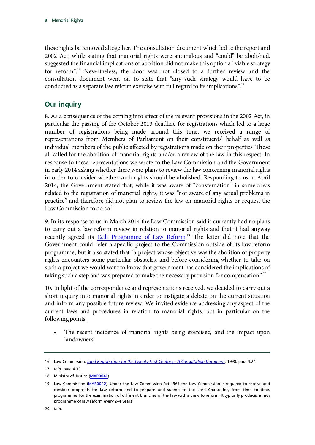these rights be removed altogether. The consultation document which led to the report and 2002 Act, while stating that manorial rights were anomalous and "could" be abolished, suggested the financial implications of abolition did not make this option a "viable strategy for reform".[16](#page-11-1) Nevertheless, the door was not closed to a further review and the consultation document went on to state that "any such strategy would have to be conducted as a separate law reform exercise with full regard to its implications".<sup>[17](#page-11-2)</sup>

### <span id="page-11-0"></span>**Our inquiry**

8. As a consequence of the coming into effect of the relevant provisions in the 2002 Act, in particular the passing of the October 2013 deadline for registrations which led to a large number of registrations being made around this time, we received a range of representations from Members of Parliament on their constituents' behalf as well as individual members of the public affected by registrations made on their properties. These all called for the abolition of manorial rights and/or a review of the law in this respect. In response to these representations we wrote to the Law Commission and the Government in early 2014 asking whether there were plans to review the law concerning manorial rights in order to consider whether such rights should be abolished. Responding to us in April 2014, the Government stated that, while it was aware of "consternation" in some areas related to the registration of manorial rights, it was "not aware of any actual problems in practice" and therefore did not plan to review the law on manorial rights or request the Law Commission to do so.<sup>[18](#page-11-3)</sup>

9. In its response to us in March 2014 the Law Commission said it currently had no plans to carry out a law reform review in relation to manorial rights and that it had anyway recently agreed its [12th Programme of Law Reform.](http://lawcommission.justice.gov.uk/publications/programmes-law-reform.htm)<sup>[19](#page-11-4)</sup> The letter did note that the Government could refer a specific project to the Commission outside of its law reform programme, but it also stated that "a project whose objective was the abolition of property rights encounters some particular obstacles, and before considering whether to take on such a project we would want to know that government has considered the implications of taking such a step and was prepared to make the necessary provision for compensation".<sup>[20](#page-11-5)</sup>

10. In light of the correspondence and representations received, we decided to carry out a short inquiry into manorial rights in order to instigate a debate on the current situation and inform any possible future review. We invited evidence addressing any aspect of the current laws and procedures in relation to manorial rights, but in particular on the following points:

The recent incidence of manorial rights being exercised, and the impact upon landowners;

<span id="page-11-1"></span><sup>16</sup> Law Commission, *[Land Registration for the Twenty-First Century –](http://lawcommission.justice.gov.uk/docs/lc254_land_registration_for_21st_century_consultative.pdf) A Consultation Document*, 1998, para 4.24

<span id="page-11-2"></span><sup>17</sup> *Ibid,* para 4.39

<span id="page-11-3"></span><sup>18</sup> Ministry of Justice [\(MAR0041\)](http://data.parliament.uk/WrittenEvidence/CommitteeEvidence.svc/EvidenceDocument/Justice/Manorial%20rights/written/16021.html)

<span id="page-11-5"></span><span id="page-11-4"></span><sup>19</sup> Law Commission [\(MAR0042\)](http://data.parliament.uk/WrittenEvidence/CommitteeEvidence.svc/EvidenceDocument/Justice/Manorial%20rights/written/16023.html). Under the Law Commission Act 1965 the Law Commission is required to receive and consider proposals for law reform and to prepare and submit to the Lord Chancellor, from time to time, programmes for the examination of different branches of the law with a view to reform. It typically produces a new programme of law reform every 2–4 years.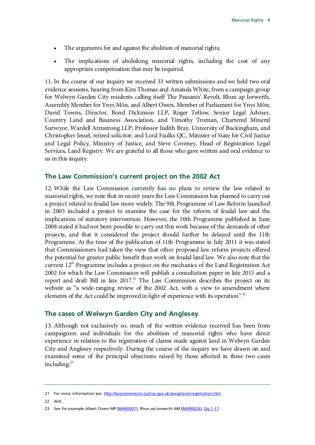- The arguments for and against the abolition of manorial rights;
- The implications of abolishing manorial rights, including the cost of any appropriate compensation that may be required.

11. In the course of our inquiry we received 33 written submissions and we held two oral evidence sessions, hearing from Kim Thomas and Amanda White, from a campaign group for Welwyn Garden City residents calling itself The Peasants' Revolt, Rhun ap Iorwerth, Assembly Member for Ynys Môn, and Albert Owen, Member of Parliament for Ynys Môn; David Towns, Director, Bond Dickinson LLP, Roger Tetlow, Senior Legal Adviser, Country Land and Business Association, and Timothy Troman, Chartered Mineral Surveyor, Wardell Armstrong LLP; Professor Judith Bray, University of Buckingham, and Christopher Jessel, retired solicitor; and Lord Faulks QC, Minister of State for Civil Justice and Legal Policy, Ministry of Justice, and Steve Coveney, Head of Registration Legal Services, Land Registry. We are grateful to all those who gave written and oral evidence to us in this inquiry.

#### <span id="page-12-0"></span>**The Law Commission's current project on the 2002 Act**

12. While the Law Commission currently has no plans to review the law related to manorial rights, we note that in recent years the Law Commission has planned to carry out a project related to feudal law more widely. The 9th Programme of Law Reform launched in 2005 included a project to examine the case for the reform of feudal law and the implications of statutory intervention. However, the 10th Programme published in June 2008 stated it had not been possible to carry out this work because of the demands of other projects, and that it considered the project should further be delayed until the 11th Programme. At the time of the publication of 11th Programme in July 2011 it was stated that Commissioners had taken the view that other proposed law reform projects offered the potential for greater public benefit than work on feudal land law. We also note that the current  $12<sup>th</sup>$  Programme includes a project on the mechanics of the Land Registration Act 2002 for which the Law Commission will publish a consultation paper in late 2015 and a report and draft Bill in late  $2017<sup>21</sup>$ . The Law Commission describes the project on its website as "a wide-ranging review of the 2002 Act, with a view to amendment where elements of the Act could be improved in light of experience with its operation".<sup>22</sup>

#### <span id="page-12-1"></span>**The cases of Welwyn Garden City and Anglesey**

13. Although not exclusively so, much of the written evidence received has been from campaigners and individuals for the abolition of manorial rights who have direct experience in relation to the registration of claims made against land in Welwyn Garden City and Anglesey respectively. During the course of the inquiry we have drawn on and examined some of the principal objections raised by those affected in these two cases including:<sup>[23](#page-12-4)</sup>

<span id="page-12-2"></span><sup>21</sup> For more information see[: http://lawcommission.justice.gov.uk/areas/land-registration.htm](http://lawcommission.justice.gov.uk/areas/land-registration.htm)

<span id="page-12-3"></span><sup>22</sup> *Ibid.* 

<span id="page-12-4"></span><sup>23</sup> See for example Albert Owen MP [\(MAR0007\)](http://data.parliament.uk/WrittenEvidence/CommitteeEvidence.svc/EvidenceDocument/Justice/Manorial%20rights/written/11830.html), Rhun ap Iorwerth AM [\(MAR0026\)](http://data.parliament.uk/WrittenEvidence/CommitteeEvidence.svc/EvidenceDocument/Justice/Manorial%20rights/written/12228.html), Qq 1-17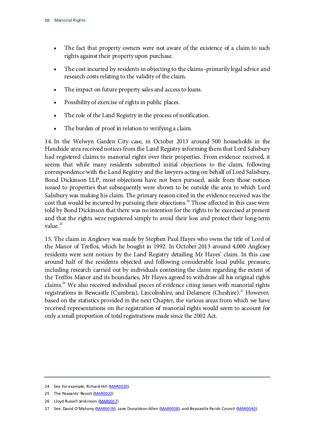- The fact that property owners were not aware of the existence of a claim to such rights against their property upon purchase.
- The cost incurred by residents in objecting to the claims–primarily legal advice and research costs relating to the validity of the claim.
- The impact on future property sales and access to loans.
- Possibility of exercise of rights in public places.
- The role of the Land Registry in the process of notification.
- The burden of proof in relation to verifying a claim.

14. In the Welwyn Garden City case, in October 2013 around 500 households in the Handside area received notices from the Land Registry informing them that Lord Salisbury had registered claims to manorial rights over their properties. From evidence received, it seems that while many residents submitted initial objections to the claim, following correspondence with the Land Registry and the lawyers acting on behalf of Lord Salisbury, Bond Dickinson LLP, most objections have not been pursued, aside from those notices issued to properties that subsequently were shown to be outside the area to which Lord Salisbury was making his claim. The primary reason cited in the evidence received was the cost that would be incurred by pursuing their objections.<sup>[24](#page-13-0)</sup> Those affected in this case were told by Bond Dickinson that there was no intention for the rights to be exercised at present and that the rights were registered simply to avoid their loss and protect their long-term value. $^{25}$  $^{25}$  $^{25}$ 

15. The claim in Anglesey was made by Stephen Paul Hayes who owns the title of Lord of the Manor of Treffos, which he bought in 1992. In October 2013 around 4,000 Anglesey residents were sent notices by the Land Registry detailing Mr Hayes' claim. In this case around half of the residents objected and following considerable local public pressure, including research carried out by individuals contesting the claim regarding the extent of the Treffos Manor and its boundaries, Mr Hayes agreed to withdraw all his original rights claims.[26](#page-13-2) We also received individual pieces of evidence citing issues with manorial rights registrations in Bewcastle (Cumbria), Lincolnshire, and Delamere (Cheshire).<sup>[27](#page-13-3)</sup> However, based on the statistics provided in the next Chapter, the various areas from which we have received representations on the registration of manorial rights would seem to account for only a small proportion of total registrations made since the 2002 Act.

<span id="page-13-0"></span><sup>24</sup> See for example, Richard Hill [\(MAR0020\)](http://data.parliament.uk/WrittenEvidence/CommitteeEvidence.svc/EvidenceDocument/Justice/Manorial%20rights/written/12209.html).

<span id="page-13-1"></span><sup>25</sup> The Peasants' Revolt [\(MAR0023\)](http://data.parliament.uk/WrittenEvidence/CommitteeEvidence.svc/EvidenceDocument/Justice/Manorial%20rights/written/12219.html)

<span id="page-13-2"></span><sup>26</sup> Lloyd Russell Jenkinson [\(MAR0017\)](http://data.parliament.uk/WrittenEvidence/CommitteeEvidence.svc/EvidenceDocument/Justice/Manorial%20rights/written/12161.html)

<span id="page-13-3"></span><sup>27</sup> See: David O'Mahony [\(MAR0019\)](http://data.parliament.uk/WrittenEvidence/CommitteeEvidence.svc/EvidenceDocument/Justice/Manorial%20rights/written/12193.html); Jane Donaldson-Allen [\(MAR0038\)](http://data.parliament.uk/WrittenEvidence/CommitteeEvidence.svc/EvidenceDocument/Justice/Manorial%20rights/written/14835.html); and Bewcastle Parish Council [\(MAR0040\)](http://data.parliament.uk/WrittenEvidence/CommitteeEvidence.svc/EvidenceDocument/Justice/Manorial%20rights/written/15389.html).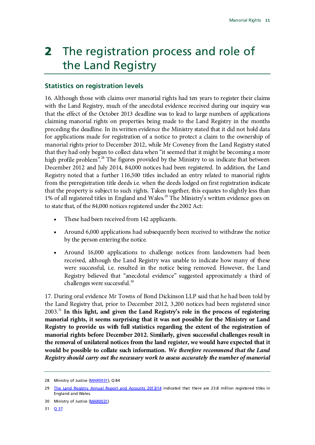# <span id="page-14-0"></span>2 The registration process and role of the Land Registry

### <span id="page-14-1"></span>**Statistics on registration levels**

16. Although those with claims over manorial rights had ten years to register their claims with the Land Registry, much of the anecdotal evidence received during our inquiry was that the effect of the October 2013 deadline was to lead to large numbers of applications claiming manorial rights on properties being made to the Land Registry in the months preceding the deadline. In its written evidence the Ministry stated that it did not hold data for applications made for registration of a notice to protect a claim to the ownership of manorial rights prior to December 2012, while Mr Coveney from the Land Registry stated that they had only begun to collect data when "it seemed that it might be becoming a more high profile problem".<sup>[28](#page-14-2)</sup> The figures provided by the Ministry to us indicate that between December 2012 and July 2014, 84,000 notices had been registered. In addition, the Land Registry noted that a further 116,500 titles included an entry related to manorial rights from the preregistration title deeds i.e. when the deeds lodged on first registration indicate that the property is subject to such rights. Taken together, this equates to slightly less than 1% of all registered titles in England and Wales. [29](#page-14-3) The Ministry's written evidence goes on to state that, of the 84,000 notices registered under the 2002 Act:

- These had been received from 142 applicants.
- Around 6,000 applications had subsequently been received to withdraw the notice by the person entering the notice.
- Around 16,000 applications to challenge notices from landowners had been received, although the Land Registry was unable to indicate how many of these were successful, i.e. resulted in the notice being removed. However, the Land Registry believed that "anecdotal evidence" suggested approximately a third of challenges were successful.<sup>[30](#page-14-4)</sup>

17. During oral evidence Mr Towns of Bond Dickinson LLP said that he had been told by the Land Registry that, prior to December 2012, 3,200 notices had been registered since 2003.[31](#page-14-5) **In this light, and given the Land Registry's role in the process of registering manorial rights, it seems surprising that it was not possible for the Ministry or Land Registry to provide us with full statistics regarding the extent of the registration of manorial rights before December 2012. Similarly, given successful challenges result in the removal of unilateral notices from the land register, we would have expected that it would be possible to collate such information.** *We therefore recommend that the Land Registry should carry out the necessary work to assess accurately the number of manorial* 

<span id="page-14-2"></span><sup>28</sup> Ministry of Justice [\(MAR0031\)](http://data.parliament.uk/WrittenEvidence/CommitteeEvidence.svc/EvidenceDocument/Justice/Manorial%20rights/written/12513.html), Q 84

<span id="page-14-3"></span><sup>29</sup> [The Land Registry Annual Report and Accounts 2013/14](https://www.gov.uk/government/uploads/system/uploads/attachment_data/file/332490/Land_Registry_Annual_Report2014v27Aweb.pdf) indicated that there are 23.8 million registered titles in England and Wales.

<span id="page-14-5"></span><span id="page-14-4"></span><sup>30</sup> Ministry of Justice [\(MAR0031\)](http://data.parliament.uk/WrittenEvidence/CommitteeEvidence.svc/EvidenceDocument/Justice/Manorial%20rights/written/12513.html)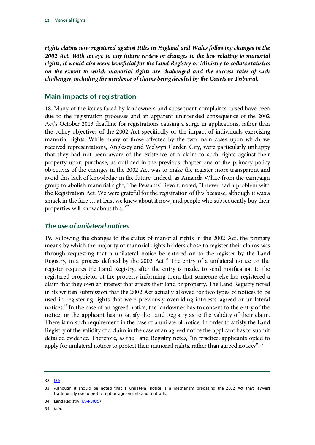*rights claims now registered against titles in England and Wales following changes in the 2002 Act. With an eye to any future review or changes to the law relating to manorial rights, it would also seem beneficial for the Land Registry or Ministry to collate statistics on the extent to which manorial rights are challenged and the success rates of such challenges, including the incidence of claims being decided by the Courts or Tribunal.*

#### <span id="page-15-0"></span>**Main impacts of registration**

18. Many of the issues faced by landowners and subsequent complaints raised have been due to the registration processes and an apparent unintended consequence of the 2002 Act's October 2013 deadline for registrations causing a surge in applications, rather than the policy objectives of the 2002 Act specifically or the impact of individuals exercising manorial rights. While many of those affected by the two main cases upon which we received representations, Anglesey and Welwyn Garden City, were particularly unhappy that they had not been aware of the existence of a claim to such rights against their property upon purchase, as outlined in the previous chapter one of the primary policy objectives of the changes in the 2002 Act was to make the register more transparent and avoid this lack of knowledge in the future. Indeed, as Amanda White from the campaign group to abolish manorial right, The Peasants' Revolt, noted, "I never had a problem with the Registration Act. We were grateful for the registration of this because, although it was a smack in the face … at least we knew about it now, and people who subsequently buy their properties will know about this."<sup>[32](#page-15-2)</sup>

#### <span id="page-15-1"></span>*The use of unilateral notices*

19. Following the changes to the status of manorial rights in the 2002 Act, the primary means by which the majority of manorial rights holders chose to register their claims was through requesting that a unilateral notice be entered on to the register by the Land Registry, in a process defined by the 2002 Act. $33$  The entry of a unilateral notice on the register requires the Land Registry, after the entry is made, to send notification to the registered proprietor of the property informing them that someone else has registered a claim that they own an interest that affects their land or property. The Land Registry noted in its written submission that the 2002 Act actually allowed for two types of notices to be used in registering rights that were previously overriding interests–agreed or unilateral notices. [34](#page-15-4) In the case of an agreed notice, the landowner has to consent to the entry of the notice, or the applicant has to satisfy the Land Registry as to the validity of their claim. There is no such requirement in the case of a unilateral notice. In order to satisfy the Land Registry of the validity of a claim in the case of an agreed notice the applicant has to submit detailed evidence. Therefore, as the Land Registry notes, "in practice, applicants opted to apply for unilateral notices to protect their manorial rights, rather than agreed notices".<sup>[35](#page-15-5)</sup>

<span id="page-15-5"></span>35 *Ibid.*

<span id="page-15-2"></span><sup>32 &</sup>lt;u>[Q 5](http://data.parliament.uk/writtenevidence/committeeevidence.svc/evidencedocument/justice-committee/manorial-rights/oral/14445.html)</u>

<span id="page-15-3"></span><sup>33</sup> Although it should be noted that a unilateral notice is a mechanism predating the 2002 Act that lawyers traditionally use to protect option agreements and contracts.

<span id="page-15-4"></span><sup>34</sup> Land Registry [\(MAR0035\)](http://data.parliament.uk/WrittenEvidence/CommitteeEvidence.svc/EvidenceDocument/Justice/Manorial%20rights/written/13556.html)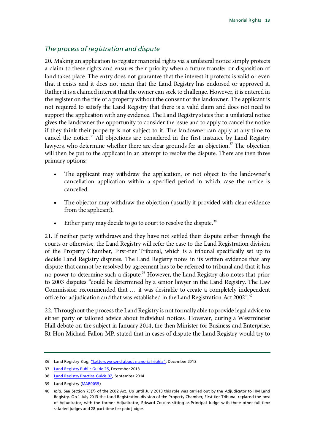#### *The process of registration and dispute*

20. Making an application to register manorial rights via a unilateral notice simply protects a claim to these rights and ensures their priority when a future transfer or disposition of land takes place. The entry does not guarantee that the interest it protects is valid or even that it exists and it does not mean that the Land Registry has endorsed or approved it. Rather it is a claimed interest that the owner can seek to challenge. However, it is entered in the register on the title of a property without the consent of the landowner. The applicant is not required to satisfy the Land Registry that there is a valid claim and does not need to support the application with any evidence. The Land Registry states that a unilateral notice gives the landowner the opportunity to consider the issue and to apply to cancel the notice if they think their property is not subject to it. The landowner can apply at any time to cancel the notice.<sup>[36](#page-16-0)</sup> All objections are considered in the first instance by Land Registry lawyers, who determine whether there are clear grounds for an objection. $37$  The objection will then be put to the applicant in an attempt to resolve the dispute. There are then three primary options:

- The applicant may withdraw the application, or not object to the landowner's cancellation application within a specified period in which case the notice is cancelled.
- The objector may withdraw the objection (usually if provided with clear evidence from the applicant).
- Either party may decide to go to court to resolve the dispute.<sup>[38](#page-16-2)</sup>

21. If neither party withdraws and they have not settled their dispute either through the courts or otherwise, the Land Registry will refer the case to the Land Registration division of the Property Chamber, First-tier Tribunal, which is a tribunal specifically set up to decide Land Registry disputes. The Land Registry notes in its written evidence that any dispute that cannot be resolved by agreement has to be referred to tribunal and that it has no power to determine such a dispute.<sup>[39](#page-16-3)</sup> However, the Land Registry also notes that prior to 2003 disputes "could be determined by a senior lawyer in the Land Registry. The Law Commission recommended that … it was desirable to create a completely independent office for adjudication and that was established in the Land Registration Act 2002".<sup>[40](#page-16-4)</sup>

22. Throughout the process the Land Registry is not formally able to provide legal advice to either party or tailored advice about individual notices. However, during a Westminster Hall debate on the subject in January 2014, the then Minister for Business and Enterprise, Rt Hon Michael Fallon MP, stated that in cases of dispute the Land Registry would try to

<span id="page-16-0"></span><sup>36</sup> Land Registry Blog[, "Letters we send about manorial rights",](http://blog.landregistry.gov.uk/letters-send-manorial-rights/) December 2013

<span id="page-16-1"></span><sup>37</sup> [Land Registry Public Guide 25,](http://webarchive.nationalarchives.gov.uk/20140709064818/http:/www.landregistry.gov.uk/public/guides/public-guide-25) December 2013

<span id="page-16-2"></span><sup>38</sup> [Land Registry Practice Guide 37,](https://www.gov.uk/government/publications/objections-and-disputes-a-guide-to-land-registry-practice-and-procedures/practice-guide-37-objections-and-disputes-a-guide-to-land-registry-practice-and-procedures) September 2014

<span id="page-16-3"></span><sup>39</sup> Land Registry [\(MAR0035\)](http://data.parliament.uk/WrittenEvidence/CommitteeEvidence.svc/EvidenceDocument/Justice/Manorial%20rights/written/13556.html)

<span id="page-16-4"></span><sup>40</sup> *Ibid*. See Section 73(7) of the 2002 Act. Up until July 2013 this role was carried out by the Adjudicator to HM Land Registry. On 1 July 2013 the Land Registration division of the Property Chamber, First-tier Tribunal replaced the post of Adjudicator, with the former Adjudicator, Edward Cousins sitting as Principal Judge with three other full-time salaried judges and 28 part-time fee paid judges.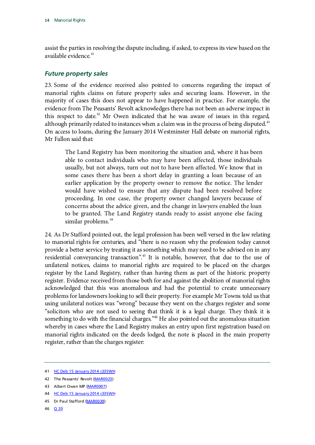assist the parties in resolving the dispute including, if asked, to express its view based on the available evidence.<sup>[41](#page-17-1)</sup>

#### <span id="page-17-0"></span>*Future property sales*

23. Some of the evidence received also pointed to concerns regarding the impact of manorial rights claims on future property sales and securing loans. However, in the majority of cases this does not appear to have happened in practice. For example, the evidence from The Peasants' Revolt acknowledges there has not been an adverse impact in this respect to date. $42$  Mr Owen indicated that he was aware of issues in this regard, although primarily related to instances when a claim was in the process of being disputed.<sup>[43](#page-17-3)</sup> On access to loans, during the January 2014 Westminster Hall debate on manorial rights, Mr Fallon said that:

The Land Registry has been monitoring the situation and, where it has been able to contact individuals who may have been affected, those individuals usually, but not always, turn out not to have been affected. We know that in some cases there has been a short delay in granting a loan because of an earlier application by the property owner to remove the notice. The lender would have wished to ensure that any dispute had been resolved before proceeding. In one case, the property owner changed lawyers because of concerns about the advice given, and the change in lawyers enabled the loan to be granted. The Land Registry stands ready to assist anyone else facing similar problems.<sup>[44](#page-17-4)</sup>

24. As Dr Stafford pointed out, the legal profession has been well versed in the law relating to manorial rights for centuries, and "there is no reason why the profession today cannot provide a better service by treating it as something which may need to be advised on in any residential conveyancing transaction".<sup>[45](#page-17-5)</sup> It is notable, however, that due to the use of unilateral notices, claims to manorial rights are required to be placed on the charges register by the Land Registry, rather than having them as part of the historic property register. Evidence received from those both for and against the abolition of manorial rights acknowledged that this was anomalous and had the potential to create unnecessary problems for landowners looking to sell their property. For example Mr Towns told us that using unilateral notices was "wrong" because they went on the charges register and some "solicitors who are not used to seeing that think it is a legal charge. They think it is something to do with the financial charges."<sup>46</sup> He also pointed out the anomalous situation whereby in cases where the Land Registry makes an entry upon first registration based on manorial rights indicated on the deeds lodged, the note is placed in the main property register, rather than the charges register:

- <span id="page-17-5"></span>45 Dr Paul Stafford [\(MAR0039\)](http://data.parliament.uk/WrittenEvidence/CommitteeEvidence.svc/EvidenceDocument/Justice/Manorial%20rights/written/14866.html)
- <span id="page-17-6"></span>46 [Q 20](http://data.parliament.uk/writtenevidence/committeeevidence.svc/evidencedocument/justice-committee/manorial-rights/oral/14445.html)

<span id="page-17-1"></span><sup>41</sup> [HC Deb 15 January 2014 c335WH](http://www.publications.parliament.uk/pa/cm201314/cmhansrd/cm140115/halltext/140115h0002.htm%2314011581000002)

<span id="page-17-2"></span><sup>42</sup> The Peasants' Revolt [\(MAR0023\)](http://data.parliament.uk/WrittenEvidence/CommitteeEvidence.svc/EvidenceDocument/Justice/Manorial%20rights/written/12219.html)

<span id="page-17-3"></span><sup>43</sup> Albert Owen MP [\(MAR0007\)](http://data.parliament.uk/WrittenEvidence/CommitteeEvidence.svc/EvidenceDocument/Justice/Manorial%20rights/written/11830.html)

<span id="page-17-4"></span><sup>44</sup> [HC Deb 15 January 2014 c335WH](http://www.publications.parliament.uk/pa/cm201314/cmhansrd/cm140115/halltext/140115h0002.htm%2314011581000002)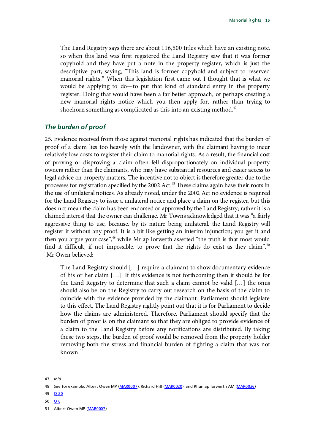The Land Registry says there are about 116,500 titles which have an existing note, so when this land was first registered the Land Registry saw that it was former copyhold and they have put a note in the property register, which is just the descriptive part, saying, "This land is former copyhold and subject to reserved manorial rights." When this legislation first came out I thought that is what we would be applying to do—to put that kind of standard entry in the property register. Doing that would have been a far better approach, or perhaps creating a new manorial rights notice which you then apply for, rather than trying to shoehorn something as complicated as this into an existing method.<sup>[47](#page-18-1)</sup>

#### <span id="page-18-0"></span>*The burden of proof*

25. Evidence received from those against manorial rights has indicated that the burden of proof of a claim lies too heavily with the landowner, with the claimant having to incur relatively low costs to register their claim to manorial rights. As a result, the financial cost of proving or disproving a claim often fell disproportionately on individual property owners rather than the claimants, who may have substantial resources and easier access to legal advice on property matters. The incentive not to object is therefore greater due to the processes for registration specified by the 2002 Act. [48](#page-18-2) These claims again have their roots in the use of unilateral notices. As already noted, under the 2002 Act no evidence is required for the Land Registry to issue a unilateral notice and place a claim on the register, but this does not mean the claim has been endorsed or approved by the Land Registry; rather it is a claimed interest that the owner can challenge. Mr Towns acknowledged that it was "a fairly aggressive thing to use, because, by its nature being unilateral, the Land Registry will register it without any proof. It is a bit like getting an interim injunction; you get it and then you argue your case",<sup>[49](#page-18-3)</sup> while Mr ap Iorwerth asserted "the truth is that most would find it difficult, if not impossible, to prove that the rights do exist as they claim".<sup>[50](#page-18-4)</sup> Mr Owen believed:

The Land Registry should […] require a claimant to show documentary evidence of his or her claim […]. If this evidence is not forthcoming then it should be for the Land Registry to determine that such a claim cannot be valid […] the onus should also be on the Registry to carry out research on the basis of the claim to coincide with the evidence provided by the claimant. Parliament should legislate to this effect. The Land Registry rightly point out that it is for Parliament to decide how the claims are administered. Therefore, Parliament should specify that the burden of proof is on the claimant so that they are obliged to provide evidence of a claim to the Land Registry before any notifications are distributed. By taking these two steps, the burden of proof would be removed from the property holder removing both the stress and financial burden of fighting a claim that was not known. [51](#page-18-5)

- <span id="page-18-3"></span>49 [Q 20](http://data.parliament.uk/writtenevidence/committeeevidence.svc/evidencedocument/justice-committee/manorial-rights/oral/14445.html)
- <span id="page-18-4"></span>50 [Q 6](http://data.parliament.uk/writtenevidence/committeeevidence.svc/evidencedocument/justice-committee/manorial-rights/oral/14445.html)

<span id="page-18-1"></span><sup>47</sup> *Ibid.*

<span id="page-18-2"></span><sup>48</sup> See for example: Albert Owen MP [\(MAR0007\)](http://data.parliament.uk/WrittenEvidence/CommitteeEvidence.svc/EvidenceDocument/Justice/Manorial%20rights/written/11830.html); Richard Hill [\(MAR0020\)](http://data.parliament.uk/WrittenEvidence/CommitteeEvidence.svc/EvidenceDocument/Justice/Manorial%20rights/written/12209.html); and Rhun ap Iorwerth AM [\(MAR0026\)](http://data.parliament.uk/WrittenEvidence/CommitteeEvidence.svc/EvidenceDocument/Justice/Manorial%20rights/written/12228.html)

<span id="page-18-5"></span><sup>51</sup> Albert Owen MP [\(MAR0007\)](http://data.parliament.uk/WrittenEvidence/CommitteeEvidence.svc/EvidenceDocument/Justice/Manorial%20rights/written/11830.html)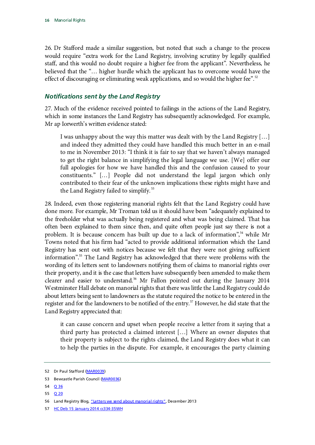26. Dr Stafford made a similar suggestion, but noted that such a change to the process would require "extra work for the Land Registry, involving scrutiny by legally qualified staff, and this would no doubt require a higher fee from the applicant". Nevertheless, he believed that the "… higher hurdle which the applicant has to overcome would have the effect of discouraging or eliminating weak applications, and so would the higher fee".<sup>[52](#page-19-1)</sup>

### <span id="page-19-0"></span>*Notifications sent by the Land Registry*

27. Much of the evidence received pointed to failings in the actions of the Land Registry, which in some instances the Land Registry has subsequently acknowledged. For example, Mr ap Iorwerth's written evidence stated:

I was unhappy about the way this matter was dealt with by the Land Registry […] and indeed they admitted they could have handled this much better in an e-mail to me in November 2013: "I think it is fair to say that we haven't always managed to get the right balance in simplifying the legal language we use. [We] offer our full apologies for how we have handled this and the confusion caused to your constituents." […] People did not understand the legal jargon which only contributed to their fear of the unknown implications these rights might have and the Land Registry failed to simplify.<sup>[53](#page-19-2)</sup>

28. Indeed, even those registering manorial rights felt that the Land Registry could have done more. For example, Mr Troman told us it should have been "adequately explained to the freeholder what was actually being registered and what was being claimed. That has often been explained to them since then, and quite often people just say there is not a problem. It is because concern has built up due to a lack of information",<sup>[54](#page-19-3)</sup> while Mr Towns noted that his firm had "acted to provide additional information which the Land Registry has sent out with notices because we felt that they were not giving sufficient information". [55](#page-19-4) The Land Registry has acknowledged that there were problems with the wording of its letters sent to landowners notifying them of claims to manorial rights over their property, and it is the case that letters have subsequently been amended to make them clearer and easier to understand.<sup>[56](#page-19-5)</sup> Mr Fallon pointed out during the January 2014 Westminster Hall debate on manorial rights that there was little the Land Registry could do about letters being sent to landowners as the statute required the notice to be entered in the register and for the landowners to be notified of the entry.<sup>[57](#page-19-6)</sup> However, he did state that the Land Registry appreciated that:

it can cause concern and upset when people receive a letter from it saying that a third party has protected a claimed interest […] Where an owner disputes that their property is subject to the rights claimed, the Land Registry does what it can to help the parties in the dispute. For example, it encourages the party claiming

<span id="page-19-4"></span>55 [Q 20](http://data.parliament.uk/writtenevidence/committeeevidence.svc/evidencedocument/justice-committee/manorial-rights/oral/14445.html)

<span id="page-19-1"></span><sup>52</sup> Dr Paul Stafford [\(MAR0039\)](http://data.parliament.uk/WrittenEvidence/CommitteeEvidence.svc/EvidenceDocument/Justice/Manorial%20rights/written/14866.html)

<span id="page-19-2"></span><sup>53</sup> Bewcastle Parish Council [\(MAR0036\)](http://data.parliament.uk/WrittenEvidence/CommitteeEvidence.svc/EvidenceDocument/Justice/Manorial%20rights/written/13629.html)

<span id="page-19-3"></span><sup>54</sup> [Q 36](http://data.parliament.uk/writtenevidence/committeeevidence.svc/evidencedocument/justice-committee/manorial-rights/oral/14445.html)

<span id="page-19-5"></span><sup>56</sup> Land Registry Blog[, "Letters we send about manorial rights",](http://blog.landregistry.gov.uk/letters-send-manorial-rights/) December 2013

<span id="page-19-6"></span><sup>57</sup> [HC Deb 15 January 2014 cc334-35WH](http://www.publications.parliament.uk/pa/cm201314/cmhansrd/cm140115/halltext/140115h0002.htm%2314011581000002)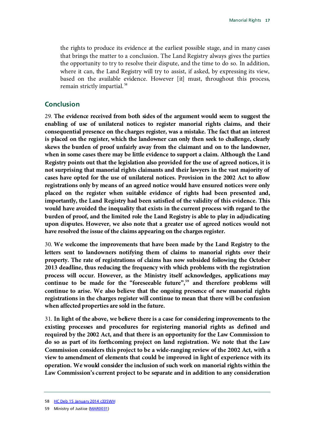the rights to produce its evidence at the earliest possible stage, and in many cases that brings the matter to a conclusion. The Land Registry always gives the parties the opportunity to try to resolve their dispute, and the time to do so. In addition, where it can, the Land Registry will try to assist, if asked, by expressing its view, based on the available evidence. However [it] must, throughout this process, remain strictly impartial. [58](#page-20-1)

#### <span id="page-20-0"></span>**Conclusion**

29. **The evidence received from both sides of the argument would seem to suggest the enabling of use of unilateral notices to register manorial rights claims, and their consequential presence on the charges register, was a mistake. The fact that an interest is placed on the register, which the landowner can only then seek to challenge, clearly skews the burden of proof unfairly away from the claimant and on to the landowner, when in some cases there may be little evidence to support a claim. Although the Land Registry points out that the legislation also provided for the use of agreed notices, it is not surprising that manorial rights claimants and their lawyers in the vast majority of cases have opted for the use of unilateral notices. Provision in the 2002 Act to allow registrations only by means of an agreed notice would have ensured notices were only placed on the register when suitable evidence of rights had been presented and, importantly, the Land Registry had been satisfied of the validity of this evidence. This would have avoided the inequality that exists in the current process with regard to the burden of proof, and the limited role the Land Registry is able to play in adjudicating upon disputes. However, we also note that a greater use of agreed notices would not have resolved the issue of the claims appearing on the charges register.**

30. **We welcome the improvements that have been made by the Land Registry to the letters sent to landowners notifying them of claims to manorial rights over their property. The rate of registrations of claims has now subsided following the October 2013 deadline, thus reducing the frequency with which problems with the registration process will occur. However, as the Ministry itself acknowledges, applications may continue to be made for the "foreseeable future"[,59](#page-20-2) and therefore problems will continue to arise. We also believe that the ongoing presence of new manorial rights registrations in the charges register will continue to mean that there will be confusion when affected properties are sold in the future.**

31. **In light of the above, we believe there is a case for considering improvements to the existing processes and procedures for registering manorial rights as defined and required by the 2002 Act, and that there is an opportunity for the Law Commission to do so as part of its forthcoming project on land registration. We note that the Law Commission considers this project to be a wide-ranging review of the 2002 Act, with a view to amendment of elements that could be improved in light of experience with its operation. We would consider the inclusion of such work on manorial rights within the Law Commission's current project to be separate and in addition to any consideration** 

<span id="page-20-1"></span><sup>58</sup> [HC Deb 15 January 2014 c335WH](http://www.publications.parliament.uk/pa/cm201314/cmhansrd/cm140115/halltext/140115h0002.htm%2314011581000002)

<span id="page-20-2"></span><sup>59</sup> Ministry of Justice [\(MAR0031\)](http://data.parliament.uk/WrittenEvidence/CommitteeEvidence.svc/EvidenceDocument/Justice/Manorial%20rights/written/12513.html)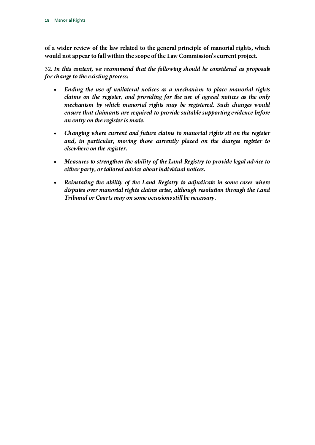**of a wider review of the law related to the general principle of manorial rights, which would not appear to fall within the scope of the Law Commission's current project.**

32. *In this context, we recommend that the following should be considered as proposals for change to the existing process:*

- *Ending the use of unilateral notices as a mechanism to place manorial rights claims on the register, and providing for the use of agreed notices as the only mechanism by which manorial rights may be registered. Such changes would ensure that claimants are required to provide suitable supporting evidence before an entry on the register is made.*
- *Changing where current and future claims to manorial rights sit on the register and, in particular, moving those currently placed on the charges register to elsewhere on the register.*
- *Measures to strengthen the ability of the Land Registry to provide legal advice to either party, or tailored advice about individual notices.*
- *Reinstating the ability of the Land Registry to adjudicate in some cases where disputes over manorial rights claims arise, although resolution through the Land Tribunal or Courts may on some occasions still be necessary.*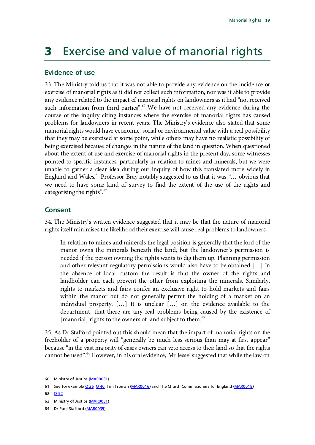## <span id="page-22-0"></span>**3** Exercise and value of manorial rights

#### <span id="page-22-1"></span>**Evidence of use**

33. The Ministry told us that it was not able to provide any evidence on the incidence or exercise of manorial rights as it did not collect such information, nor was it able to provide any evidence related to the impact of manorial rights on landowners as it had "not received such information from third parties". $60$  We have not received any evidence during the course of the inquiry citing instances where the exercise of manorial rights has caused problems for landowners in recent years. The Ministry's evidence also stated that some manorial rights would have economic, social or environmental value with a real possibility that they may be exercised at some point, while others may have no realistic possibility of being exercised because of changes in the nature of the land in question. When questioned about the extent of use and exercise of manorial rights in the present day, some witnesses pointed to specific instances, particularly in relation to mines and minerals, but we were unable to garner a clear idea during our inquiry of how this translated more widely in England and Wales.<sup>[61](#page-22-4)</sup> Professor Bray notably suggested to us that it was "... obvious that we need to have some kind of survey to find the extent of the use of the rights and categorising the rights".<sup>[62](#page-22-5)</sup>

#### <span id="page-22-2"></span>**Consent**

34. The Ministry's written evidence suggested that it may be that the nature of manorial rights itself minimises the likelihood their exercise will cause real problems to landowners:

In relation to mines and minerals the legal position is generally that the lord of the manor owns the minerals beneath the land, but the landowner's permission is needed if the person owning the rights wants to dig them up. Planning permission and other relevant regulatory permissions would also have to be obtained […] In the absence of local custom the result is that the owner of the rights and landholder can each prevent the other from exploiting the minerals. Similarly, rights to markets and fairs confer an exclusive right to hold markets and fairs within the manor but do not generally permit the holding of a market on an individual property. […] It is unclear […] on the evidence available to the department, that there are any real problems being caused by the existence of [manorial] rights to the owners of land subject to them.<sup>[63](#page-22-6)</sup>

35. As Dr Stafford pointed out this should mean that the impact of manorial rights on the freeholder of a property will "generally be much less serious than may at first appear" because "in the vast majority of cases owners can veto access to their land so that the rights cannot be used".<sup>[64](#page-22-7)</sup> However, in his oral evidence, Mr Jessel suggested that while the law on

<span id="page-22-3"></span><sup>60</sup> Ministry of Justice [\(MAR0031\)](http://data.parliament.uk/WrittenEvidence/CommitteeEvidence.svc/EvidenceDocument/Justice/Manorial%20rights/written/12513.html)

<span id="page-22-4"></span><sup>61</sup> See for exampl[e Q 26, Q 40,](http://data.parliament.uk/writtenevidence/committeeevidence.svc/evidencedocument/justice-committee/manorial-rights/oral/14445.html) Tim Troman [\(MAR0016\)](http://data.parliament.uk/WrittenEvidence/CommitteeEvidence.svc/EvidenceDocument/Justice/Manorial%20rights/written/12144.html) and The Church Commissioners for England [\(MAR0018\)](http://data.parliament.uk/WrittenEvidence/CommitteeEvidence.svc/EvidenceDocument/Justice/Manorial%20rights/written/12162.html)

<span id="page-22-5"></span><sup>62</sup> [Q 52](http://data.parliament.uk/writtenevidence/committeeevidence.svc/evidencedocument/justice-committee/manorial-rights/oral/14445.html)

<span id="page-22-6"></span><sup>63</sup> Ministry of Justice [\(MAR0031\)](http://data.parliament.uk/WrittenEvidence/CommitteeEvidence.svc/EvidenceDocument/Justice/Manorial%20rights/written/12513.html)

<span id="page-22-7"></span><sup>64</sup> Dr Paul Stafford [\(MAR0039\)](http://data.parliament.uk/WrittenEvidence/CommitteeEvidence.svc/EvidenceDocument/Justice/Manorial%20rights/written/14866.html)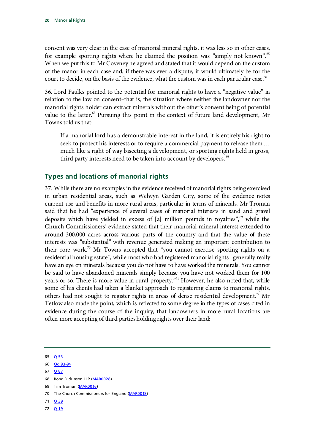consent was very clear in the case of manorial mineral rights, it was less so in other cases, for example sporting rights where he claimed the position was "simply not known".<sup>[65](#page-23-1)</sup> When we put this to Mr Coveney he agreed and stated that it would depend on the custom of the manor in each case and, if there was ever a dispute, it would ultimately be for the court to decide, on the basis of the evidence, what the custom was in each particular case.<sup>66</sup>

36. Lord Faulks pointed to the potential for manorial rights to have a "negative value" in relation to the law on consent–that is, the situation where neither the landowner nor the manorial rights holder can extract minerals without the other's consent being of potential value to the latter. $\sigma$  Pursuing this point in the context of future land development, Mr Towns told us that:

If a manorial lord has a demonstrable interest in the land, it is entirely his right to seek to protect his interests or to require a commercial payment to release them … much like a right of way bisecting a development, or sporting rights held in gross, third party interests need to be taken into account by developers.<sup>[68](#page-23-4)</sup>

### <span id="page-23-0"></span>**Types and locations of manorial rights**

37. While there are no examples in the evidence received of manorial rights being exercised in urban residential areas, such as Welwyn Garden City, some of the evidence notes current use and benefits in more rural areas, particular in terms of minerals. Mr Troman said that he had "experience of several cases of manorial interests in sand and gravel deposits which have yielded in excess of [a] million pounds in royalties", $\frac{69}{7}$  $\frac{69}{7}$  $\frac{69}{7}$  while the Church Commissioners' evidence stated that their manorial mineral interest extended to around 300,000 acres across various parts of the country and that the value of these interests was "substantial" with revenue generated making an important contribution to their core work.<sup>[70](#page-23-6)</sup> Mr Towns accepted that "you cannot exercise sporting rights on a residential housing estate", while most who had registered manorial rights "generally really have an eye on minerals because you do not have to have worked the minerals. You cannot be said to have abandoned minerals simply because you have not worked them for 100 years or so. There is more value in rural property."<sup>[71](#page-23-7)</sup> However, he also noted that, while some of his clients had taken a blanket approach to registering claims to manorial rights, others had not sought to register rights in areas of dense residential development.<sup>[72](#page-23-8)</sup> Mr Tetlow also made the point, which is reflected to some degree in the types of cases cited in evidence during the course of the inquiry, that landowners in more rural locations are often more accepting of third parties holding rights over their land:

<span id="page-23-1"></span>65 [Q 53](http://data.parliament.uk/writtenevidence/committeeevidence.svc/evidencedocument/justice-committee/manorial-rights/oral/14445.html)

<span id="page-23-3"></span>67 [Q 87](http://data.parliament.uk/writtenevidence/committeeevidence.svc/evidencedocument/justice-committee/manorial-rights/oral/15812.html)

- <span id="page-23-5"></span>69 Tim Troman [\(MAR0016\)](http://data.parliament.uk/WrittenEvidence/CommitteeEvidence.svc/EvidenceDocument/Justice/Manorial%20rights/written/12144.html)
- <span id="page-23-6"></span>70 The Church Commissioners for England [\(MAR0018\)](http://data.parliament.uk/WrittenEvidence/CommitteeEvidence.svc/EvidenceDocument/Justice/Manorial%20rights/written/12162.html)
- <span id="page-23-7"></span>71 [Q 39](http://data.parliament.uk/writtenevidence/committeeevidence.svc/evidencedocument/justice-committee/manorial-rights/oral/14445.html)
- <span id="page-23-8"></span>72 [Q 19](http://data.parliament.uk/writtenevidence/committeeevidence.svc/evidencedocument/justice-committee/manorial-rights/oral/14445.html)

<span id="page-23-2"></span><sup>66</sup> [Qq 93-94](http://data.parliament.uk/writtenevidence/committeeevidence.svc/evidencedocument/justice-committee/manorial-rights/oral/15812.html)

<span id="page-23-4"></span><sup>68</sup> Bond Dickinson LLP [\(MAR0028\)](http://data.parliament.uk/WrittenEvidence/CommitteeEvidence.svc/EvidenceDocument/Justice/Manorial%20rights/written/12300.html)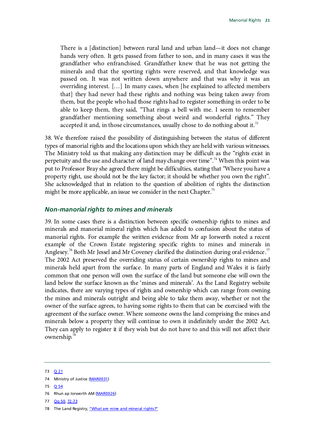There is a [distinction] between rural land and urban land—it does not change hands very often. It gets passed from father to son, and in many cases it was the grandfather who enfranchised. Grandfather knew that he was not getting the minerals and that the sporting rights were reserved, and that knowledge was passed on. It was not written down anywhere and that was why it was an overriding interest. […] In many cases, when [he explained to affected members that] they had never had these rights and nothing was being taken away from them, but the people who had those rights had to register something in order to be able to keep them, they said, "That rings a bell with me. I seem to remember grandfather mentioning something about weird and wonderful rights." They accepted it and, in those circumstances, usually chose to do nothing about it.<sup>[73](#page-24-1)</sup>

38. We therefore raised the possibility of distinguishing between the status of different types of manorial rights and the locations upon which they are held with various witnesses. The Ministry told us that making any distinction may be difficult as the "rights exist in perpetuity and the use and character of land may change over time".<sup>[74](#page-24-2)</sup> When this point was put to Professor Bray she agreed there might be difficulties, stating that "Where you have a property right, use should not be the key factor; it should be whether you own the right". She acknowledged that in relation to the question of abolition of rights the distinction might be more applicable, an issue we consider in the next Chapter.<sup>[75](#page-24-3)</sup>

#### <span id="page-24-0"></span>*Non-manorial rights to mines and minerals*

39. In some cases there is a distinction between specific ownership rights to mines and minerals and manorial mineral rights which has added to confusion about the status of manorial rights. For example the written evidence from Mr ap Iorwerth noted a recent example of the Crown Estate registering specific rights to mines and minerals in Anglesey.<sup>[76](#page-24-4)</sup> Both Mr Jessel and Mr Coveney clarified the distinction during oral evidence.<sup>[77](#page-24-5)</sup> The 2002 Act preserved the overriding status of certain ownership rights to mines and minerals held apart from the surface. In many parts of England and Wales it is fairly common that one person will own the surface of the land but someone else will own the land below the surface known as the 'mines and minerals'. As the Land Registry website indicates, there are varying types of rights and ownership which can range from owning the mines and minerals outright and being able to take them away, whether or not the owner of the surface agrees, to having some rights to them that can be exercised with the agreement of the surface owner. Where someone owns the land comprising the mines and minerals below a property they will continue to own it indefinitely under the 2002 Act. They can apply to register it if they wish but do not have to and this will not affect their ownership.<sup>[78](#page-24-6)</sup>

<span id="page-24-5"></span>77 [Qq 50,](http://data.parliament.uk/writtenevidence/committeeevidence.svc/evidencedocument/justice-committee/manorial-rights/oral/14445.html) [72-73](http://data.parliament.uk/writtenevidence/committeeevidence.svc/evidencedocument/justice-committee/manorial-rights/oral/15812.html)

<span id="page-24-1"></span><sup>73</sup> [Q 21](http://data.parliament.uk/writtenevidence/committeeevidence.svc/evidencedocument/justice-committee/manorial-rights/oral/14445.html)

<span id="page-24-2"></span><sup>74</sup> Ministry of Justice [\(MAR0031\)](http://data.parliament.uk/WrittenEvidence/CommitteeEvidence.svc/EvidenceDocument/Justice/Manorial%20rights/written/12513.html)

<span id="page-24-3"></span><sup>75</sup> [Q 54](http://data.parliament.uk/writtenevidence/committeeevidence.svc/evidencedocument/justice-committee/manorial-rights/oral/14445.html)

<span id="page-24-4"></span><sup>76</sup> Rhun ap Iorwerth AM [\(MAR0026\)](http://data.parliament.uk/WrittenEvidence/CommitteeEvidence.svc/EvidenceDocument/Justice/Manorial%20rights/written/12228.html)

<span id="page-24-6"></span><sup>78</sup> The Land Registry[, "What are mine and mineral rights?"](http://site.landregistry.gov.uk/public/faqs/what-are-mine-and-mineral-rights)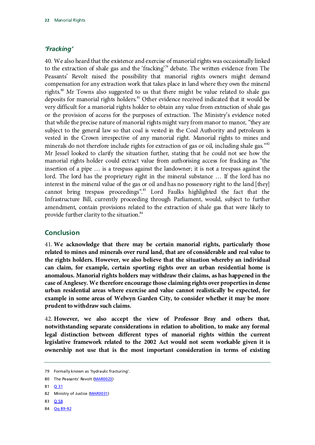#### <span id="page-25-0"></span>*'Fracking'*

40. We also heard that the existence and exercise of manorial rights was occasionally linked to the extraction of shale gas and the 'fracking'<sup>[79](#page-25-2)</sup> debate. The written evidence from The Peasants' Revolt raised the possibility that manorial rights owners might demand compensation for any extraction work that takes place in land where they own the mineral rights.<sup>[80](#page-25-3)</sup> Mr Towns also suggested to us that there might be value related to shale gas deposits for manorial rights holders.<sup>[81](#page-25-4)</sup> Other evidence received indicated that it would be very difficult for a manorial rights holder to obtain any value from extraction of shale gas or the provision of access for the purposes of extraction. The Ministry's evidence noted that while the precise nature of manorial rights might vary from manor to manor, "they are subject to the general law so that coal is vested in the Coal Authority and petroleum is vested in the Crown irrespective of any manorial right. Manorial rights to mines and minerals do not therefore include rights for extraction of gas or oil, including shale gas."<sup>[82](#page-25-5)</sup> Mr Jessel looked to clarify the situation further, stating that he could not see how the manorial rights holder could extract value from authorising access for fracking as "the insertion of a pipe … is a trespass against the landowner; it is not a trespass against the lord. The lord has the proprietary right in the mineral substance … If the lord has no interest in the mineral value of the gas or oil and has no possessory right to the land [they] cannot bring trespass proceedings".[83](#page-25-6) Lord Faulks highlighted the fact that the Infrastructure Bill, currently proceeding through Parliament, would, subject to further amendment, contain provisions related to the extraction of shale gas that were likely to provide further clarity to the situation.<sup>84</sup>

#### <span id="page-25-1"></span>**Conclusion**

41. **We acknowledge that there may be certain manorial rights, particularly those related to mines and minerals over rural land, that are of considerable and real value to the rights holders. However, we also believe that the situation whereby an individual can claim, for example, certain sporting rights over an urban residential home is anomalous. Manorial rights holders may withdraw their claims, as has happened in the case of Anglesey. We therefore encourage those claiming rights over properties in dense urban residential areas where exercise and value cannot realistically be expected, for example in some areas of Welwyn Garden City, to consider whether it may be more prudent to withdraw such claims.**

42. **However, we also accept the view of Professor Bray and others that, notwithstanding separate considerations in relation to abolition, to make any formal legal distinction between different types of manorial rights within the current legislative framework related to the 2002 Act would not seem workable given it is ownership not use that is the most important consideration in terms of existing** 

<span id="page-25-6"></span>83 [Q 58](http://data.parliament.uk/writtenevidence/committeeevidence.svc/evidencedocument/justice-committee/manorial-rights/oral/14445.html)

<span id="page-25-2"></span><sup>79</sup> Formally known as 'hydraulic fracturing'.

<span id="page-25-3"></span><sup>80</sup> The Peasants' Revolt [\(MAR0023\)](http://data.parliament.uk/WrittenEvidence/CommitteeEvidence.svc/EvidenceDocument/Justice/Manorial%20rights/written/12219.html)

<span id="page-25-4"></span><sup>81</sup> **[Q 31](http://data.parliament.uk/writtenevidence/committeeevidence.svc/evidencedocument/justice-committee/manorial-rights/oral/14445.html)** 

<span id="page-25-5"></span><sup>82</sup> Ministry of Justice [\(MAR0031\)](http://data.parliament.uk/WrittenEvidence/CommitteeEvidence.svc/EvidenceDocument/Justice/Manorial%20rights/written/12513.html)

<span id="page-25-7"></span><sup>84</sup> Qq 89-92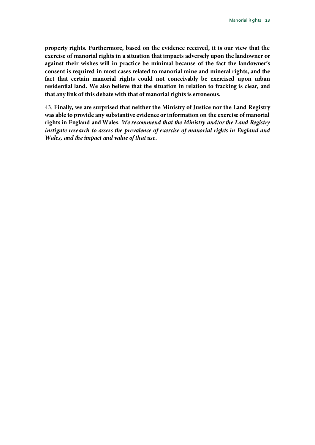**property rights. Furthermore, based on the evidence received, it is our view that the exercise of manorial rights in a situation that impacts adversely upon the landowner or against their wishes will in practice be minimal because of the fact the landowner's consent is required in most cases related to manorial mine and mineral rights, and the fact that certain manorial rights could not conceivably be exercised upon urban residential land. We also believe that the situation in relation to fracking is clear, and that any link of this debate with that of manorial rights is erroneous.**

43. **Finally, we are surprised that neither the Ministry of Justice nor the Land Registry was able to provide any substantive evidence or information on the exercise of manorial rights in England and Wales.** *We recommend that the Ministry and/or the Land Registry instigate research to assess the prevalence of exercise of manorial rights in England and Wales, and the impact and value of that use.*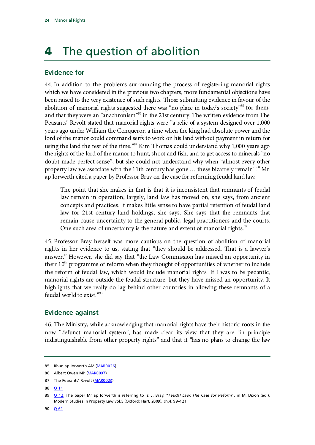# <span id="page-27-0"></span>**4** The question of abolition

### <span id="page-27-1"></span>**Evidence for**

44. In addition to the problems surrounding the process of registering manorial rights which we have considered in the previous two chapters, more fundamental objections have been raised to the very existence of such rights. Those submitting evidence in favour of the abolition of manorial rights suggested there was "no place in today's society"<sup>85</sup> for them, and that theywere an "anachronism" [86](#page-27-4) in the 21st century. The written evidence from The Peasants' Revolt stated that manorial rights were "a relic of a system designed over 1,000 years ago under William the Conqueror, a time when the king had absolute power and the lord of the manor could command serfs to work on his land without payment in return for using the land the rest of the time."<sup>[87](#page-27-5)</sup> Kim Thomas could understand why 1,000 years ago the rights of the lord of the manor to hunt, shoot and fish, and to get access to minerals "no doubt made perfect sense", but she could not understand why when "almost every other property law we associate with the 11th century has gone  $\ldots$  these bizarrely remain".<sup>88</sup> Mr ap Iorwerth cited a paper by Professor Bray on the case for reforming feudal land law:

The point that she makes in that is that it is inconsistent that remnants of feudal law remain in operation; largely, land law has moved on, she says, from ancient concepts and practices. It makes little sense to have partial retention of feudal land law for 21st century land holdings, she says. She says that the remnants that remain cause uncertainty to the general public, legal practitioners and the courts. One such area of uncertainty is the nature and extent of manorial rights.<sup>89</sup>

45. Professor Bray herself was more cautious on the question of abolition of manorial rights in her evidence to us, stating that "they should be addressed. That is a lawyer's answer." However, she did say that "the Law Commission has missed an opportunity in their  $10<sup>th</sup>$  programme of reform when they thought of opportunities of whether to include the reform of feudal law, which would include manorial rights. If I was to be pedantic, manorial rights are outside the feudal structure, but they have missed an opportunity. It highlights that we really do lag behind other countries in allowing these remnants of a feudal world to exist."<sup>[90](#page-27-8)</sup>

#### <span id="page-27-2"></span>**Evidence against**

46. The Ministry, while acknowledging that manorial rights have their historic roots in the now "defunct manorial system", has made clear its view that they are "in principle indistinguishable from other property rights" and that it "has no plans to change the law

<span id="page-27-6"></span>88 [Q 11](http://data.parliament.uk/writtenevidence/committeeevidence.svc/evidencedocument/justice-committee/manorial-rights/oral/14445.html)

<span id="page-27-8"></span>90 **[Q 61](http://data.parliament.uk/writtenevidence/committeeevidence.svc/evidencedocument/justice-committee/manorial-rights/oral/14445.html)** 

<span id="page-27-3"></span><sup>85</sup> Rhun ap Iorwerth AM [\(MAR0026\)](http://data.parliament.uk/WrittenEvidence/CommitteeEvidence.svc/EvidenceDocument/Justice/Manorial%20rights/written/12228.html)

<span id="page-27-4"></span><sup>86</sup> Albert Owen MP [\(MAR0007\)](http://data.parliament.uk/WrittenEvidence/CommitteeEvidence.svc/EvidenceDocument/Justice/Manorial%20rights/written/11830.html)

<span id="page-27-5"></span><sup>87</sup> The Peasants' Revolt [\(MAR0023\)](http://data.parliament.uk/WrittenEvidence/CommitteeEvidence.svc/EvidenceDocument/Justice/Manorial%20rights/written/12219.html)

<span id="page-27-7"></span><sup>89</sup> [Q 12.](http://data.parliament.uk/writtenevidence/committeeevidence.svc/evidencedocument/justice-committee/manorial-rights/oral/14445.html) The paper Mr ap Iorwerth is referring to is: J. Bray, "*Feudal Law: The Case for Reform*", in M. Dixon (ed.), Modern Studies in Property Law vol.5 (Oxford: Hart, 2009), ch.4, 99–121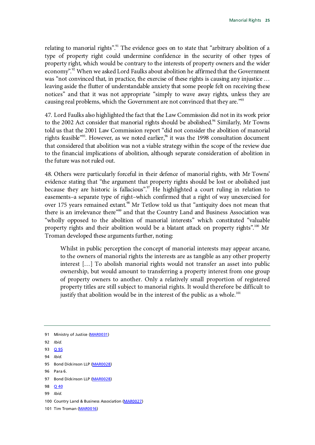relating to manorial rights".<sup>[91](#page-28-0)</sup> The evidence goes on to state that "arbitrary abolition of a type of property right could undermine confidence in the security of other types of property right, which would be contrary to the interests of property owners and the wider economy".<sup>[92](#page-28-1)</sup> When we asked Lord Faulks about abolition he affirmed that the Government was "not convinced that, in practice, the exercise of these rights is causing any injustice … leaving aside the flutter of understandable anxiety that some people felt on receiving these notices" and that it was not appropriate "simply to wave away rights, unless they are causing real problems, which the Government are not convinced that they are."<sup>93</sup>

47. Lord Faulks also highlighted the fact that the Law Commission did not in its work prior to the 2002 Act consider that manorial rights should be abolished. $94$  Similarly, Mr Towns told us that the 2001 Law Commission report "did not consider the abolition of manorial rights feasible"<sup>95</sup>. However, as we noted earlier,<sup>96</sup> it was the 1998 consultation document that considered that abolition was not a viable strategy within the scope of the review due to the financial implications of abolition, although separate consideration of abolition in the future was not ruled out.

48. Others were particularly forceful in their defence of manorial rights, with Mr Towns' evidence stating that "the argument that property rights should be lost or abolished just because they are historic is fallacious".<sup>[97](#page-28-6)</sup> He highlighted a court ruling in relation to easements–a separate type of right–which confirmed that a right of way unexercised for over 175 years remained extant.<sup>[98](#page-28-7)</sup> Mr Tetlow told us that "antiquity does not mean that there is an irrelevance there"<sup>[99](#page-28-8)</sup> and that the Country Land and Business Association was "wholly opposed to the abolition of manorial interests" which constituted "valuable property rights and their abolition would be a blatant attack on property rights".<sup>[100](#page-28-9)</sup> Mr Troman developed these arguments further, noting:

Whilst in public perception the concept of manorial interests may appear arcane, to the owners of manorial rights the interests are as tangible as any other property interest […] To abolish manorial rights would not transfer an asset into public ownership, but would amount to transferring a property interest from one group of property owners to another. Only a relatively small proportion of registered property titles are still subject to manorial rights. It would therefore be difficult to justify that abolition would be in the interest of the public as a whole.<sup>[101](#page-28-10)</sup>

- <span id="page-28-5"></span>96 Para 6.
- <span id="page-28-6"></span>97 Bond Dickinson LLP [\(MAR0028\)](http://data.parliament.uk/WrittenEvidence/CommitteeEvidence.svc/EvidenceDocument/Justice/Manorial%20rights/written/12300.html)
- <span id="page-28-7"></span>98 **[Q 40](http://data.parliament.uk/writtenevidence/committeeevidence.svc/evidencedocument/justice-committee/manorial-rights/oral/14445.html)**
- <span id="page-28-8"></span>99 *Ibid*.
- <span id="page-28-9"></span>100 Country Land & Business Association [\(MAR0027\)](http://data.parliament.uk/WrittenEvidence/CommitteeEvidence.svc/EvidenceDocument/Justice/Manorial%20rights/written/12283.html)
- <span id="page-28-10"></span>101 Tim Troman [\(MAR0016\)](http://data.parliament.uk/WrittenEvidence/CommitteeEvidence.svc/EvidenceDocument/Justice/Manorial%20rights/written/12144.html)

<span id="page-28-0"></span><sup>91</sup> Ministry of Justice [\(MAR0031\)](http://data.parliament.uk/WrittenEvidence/CommitteeEvidence.svc/EvidenceDocument/Justice/Manorial%20rights/written/12513.html)

<span id="page-28-1"></span><sup>92</sup> *Ibid.*

<span id="page-28-2"></span><sup>93</sup> [Q 95](http://data.parliament.uk/writtenevidence/committeeevidence.svc/evidencedocument/justice-committee/manorial-rights/oral/15812.html)

<span id="page-28-3"></span><sup>94</sup> *Ibid.* 

<span id="page-28-4"></span><sup>95</sup> Bond Dickinson LLP [\(MAR0028\)](http://data.parliament.uk/WrittenEvidence/CommitteeEvidence.svc/EvidenceDocument/Justice/Manorial%20rights/written/12300.html)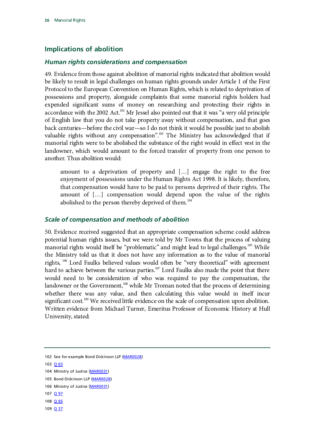### <span id="page-29-0"></span>**Implications of abolition**

#### <span id="page-29-1"></span>*Human rights considerations and compensation*

49. Evidence from those against abolition of manorial rights indicated that abolition would be likely to result in legal challenges on human rights grounds under Article 1 of the First Protocol to the European Convention on Human Rights, which is related to deprivation of possessions and property, alongside complaints that some manorial rights holders had expended significant sums of money on researching and protecting their rights in accordance with the 2002 Act.<sup>102</sup> Mr Jessel also pointed out that it was "a very old principle of English law that you do not take property away without compensation, and that goes back centuries—before the civil war—so I do not think it would be possible just to abolish valuable rights without any compensation".<sup>103</sup> The Ministry has acknowledged that if manorial rights were to be abolished the substance of the right would in effect vest in the landowner, which would amount to the forced transfer of property from one person to another. Thus abolition would:

amount to a deprivation of property and […] engage the right to the free enjoyment of possessions under the Human Rights Act 1998. It is likely, therefore, that compensation would have to be paid to persons deprived of their rights. The amount of […] compensation would depend upon the value of the rights abolished to the person thereby deprived of them.<sup>[104](#page-29-5)</sup>

#### <span id="page-29-2"></span>*Scale of compensation and methods of abolition*

50. Evidence received suggested that an appropriate compensation scheme could address potential human rights issues, but we were told by Mr Towns that the process of valuing manorial rights would itself be "problematic" and might lead to legal challenges.<sup>[105](#page-29-6)</sup> While the Ministry told us that it does not have any information as to the value of manorial rights, <sup>[106](#page-29-7)</sup> Lord Faulks believed values would often be "very theoretical" with agreement hard to achieve between the various parties.<sup>107</sup> Lord Faulks also made the point that there would need to be consideration of who was required to pay the compensation, the landowner or the Government,<sup>[108](#page-29-9)</sup> while Mr Troman noted that the process of determining whether there was any value, and then calculating this value would in itself incur significant cost.<sup>[109](#page-29-10)</sup> We received little evidence on the scale of compensation upon abolition. Written evidence from Michael Turner, Emeritus Professor of Economic History at Hull University, stated:

<span id="page-29-4"></span>103 [Q 65](http://data.parliament.uk/writtenevidence/committeeevidence.svc/evidencedocument/justice-committee/manorial-rights/oral/14445.html)

- <span id="page-29-8"></span>107 <u>[Q 97](http://data.parliament.uk/writtenevidence/committeeevidence.svc/evidencedocument/justice-committee/manorial-rights/oral/15812.html)</u>
- <span id="page-29-9"></span>108 <u>[Q 95](http://data.parliament.uk/writtenevidence/committeeevidence.svc/evidencedocument/justice-committee/manorial-rights/oral/15812.html)</u>
- <span id="page-29-10"></span>109 [Q 37](http://data.parliament.uk/writtenevidence/committeeevidence.svc/evidencedocument/justice-committee/manorial-rights/oral/14445.html)

<span id="page-29-3"></span><sup>102</sup> See for example Bond Dickinson LLP [\(MAR0028\)](http://data.parliament.uk/WrittenEvidence/CommitteeEvidence.svc/EvidenceDocument/Justice/Manorial%20rights/written/12300.html)

<span id="page-29-5"></span><sup>104</sup> Ministry of Justice [\(MAR0031\)](http://data.parliament.uk/WrittenEvidence/CommitteeEvidence.svc/EvidenceDocument/Justice/Manorial%20rights/written/12513.html)

<span id="page-29-6"></span><sup>105</sup> Bond Dickinson LLP [\(MAR0028\)](http://data.parliament.uk/WrittenEvidence/CommitteeEvidence.svc/EvidenceDocument/Justice/Manorial%20rights/written/12300.html)

<span id="page-29-7"></span><sup>106</sup> Ministry of Justice [\(MAR0031\)](http://data.parliament.uk/WrittenEvidence/CommitteeEvidence.svc/EvidenceDocument/Justice/Manorial%20rights/written/12513.html)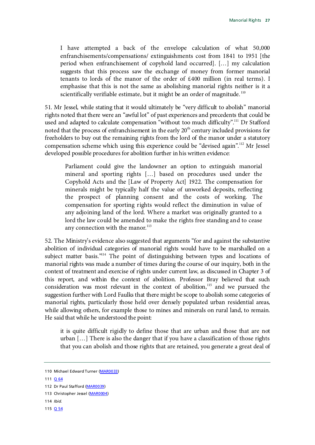I have attempted a back of the envelope calculation of what 50,000 enfranchisements/compensations/ extinguishments cost from 1841 to 1951 [the period when enfranchisement of copyhold land occurred]. […] my calculation suggests that this process saw the exchange of money from former manorial tenants to lords of the manor of the order of £400 million (in real terms). I emphasise that this is not the same as abolishing manorial rights neither is it a scientifically verifiable estimate, but it might be an order of magnitude.<sup>[110](#page-30-0)</sup>

51. Mr Jessel, while stating that it would ultimately be "very difficult to abolish" manorial rights noted that there were an "awful lot" of past experiences and precedents that could be used and adapted to calculate compensation "without too much difficulty".<sup>111</sup> Dr Stafford noted that the process of enfranchisement in the early  $20<sup>th</sup>$  century included provisions for freeholders to buy out the remaining rights from the lord of the manor under a statutory compensation scheme which using this experience could be "devised again".<sup>[112](#page-30-2)</sup> Mr Jessel developed possible procedures for abolition further in his written evidence:

Parliament could give the landowner an option to extinguish manorial mineral and sporting rights […] based on procedures used under the Copyhold Acts and the [Law of Property Act] 1922. The compensation for minerals might be typically half the value of unworked deposits, reflecting the prospect of planning consent and the costs of working. The compensation for sporting rights would reflect the diminution in value of any adjoining land of the lord. Where a market was originally granted to a lord the law could be amended to make the rights free standing and to cease any connection with the manor. $^{113}$  $^{113}$  $^{113}$ 

52. The Ministry's evidence also suggested that arguments "for and against the substantive abolition of individual categories of manorial rights would have to be marshalled on a subject matter basis."<sup>114</sup> The point of distinguishing between types and locations of manorial rights was made a number of times during the course of our inquiry, both in the context of treatment and exercise of rights under current law, as discussed in Chapter 3 of this report, and within the context of abolition. Professor Bray believed that such consideration was most relevant in the context of abolition,<sup>[115](#page-30-5)</sup> and we pursued the suggestion further with Lord Faulks that there might be scope to abolish some categories of manorial rights, particularly those held over densely populated urban residential areas, while allowing others, for example those to mines and minerals on rural land, to remain. He said that while he understood the point:

it is quite difficult rigidly to define those that are urban and those that are not urban […] There is also the danger that if you have a classification of those rights that you can abolish and those rights that are retained, you generate a great deal of

<span id="page-30-1"></span>111 [Q 64](http://data.parliament.uk/writtenevidence/committeeevidence.svc/evidencedocument/justice-committee/manorial-rights/oral/14445.html)

- <span id="page-30-4"></span>114 *Ibid.*
- <span id="page-30-5"></span>115 [Q 54](http://data.parliament.uk/writtenevidence/committeeevidence.svc/evidencedocument/justice-committee/manorial-rights/oral/14445.html)

<span id="page-30-0"></span><sup>110</sup> Michael Edward Turner [\(MAR0033\)](http://data.parliament.uk/WrittenEvidence/CommitteeEvidence.svc/EvidenceDocument/Justice/Manorial%20rights/written/12806.html)

<span id="page-30-2"></span><sup>112</sup> Dr Paul Stafford [\(MAR0039\)](http://data.parliament.uk/WrittenEvidence/CommitteeEvidence.svc/EvidenceDocument/Justice/Manorial%20rights/written/14866.html)

<span id="page-30-3"></span><sup>113</sup> Christopher Jessel [\(MAR0004\)](http://data.parliament.uk/WrittenEvidence/CommitteeEvidence.svc/EvidenceDocument/Justice/Manorial%20rights/written/11655.html)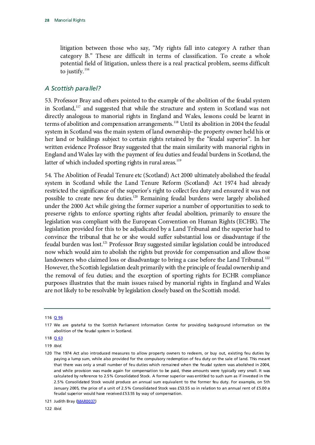litigation between those who say, "My rights fall into category A rather than category B." These are difficult in terms of classification. To create a whole potential field of litigation, unless there is a real practical problem, seems difficult to justify.  $116$ 

#### *A Scottish parallel?*

53. Professor Bray and others pointed to the example of the abolition of the feudal system in Scotland,[117](#page-31-1) and suggested that while the structure and system in Scotland was not directly analogous to manorial rights in England and Wales, lessons could be learnt in terms of abolition and compensation arrangements.<sup>[118](#page-31-2)</sup> Until its abolition in 2004 the feudal system in Scotland was the main system of land ownership–the property owner held his or her land or buildings subject to certain rights retained by the "feudal superior". In her written evidence Professor Bray suggested that the main similarity with manorial rights in England and Wales lay with the payment of feu duties and feudal burdens in Scotland, the latter of which included sporting rights in rural areas.<sup>[119](#page-31-3)</sup>

54. The Abolition of Feudal Tenure etc (Scotland) Act 2000 ultimately abolished the feudal system in Scotland while the Land Tenure Reform (Scotland) Act 1974 had already restricted the significance of the superior's right to collect feu duty and ensured it was not possible to create new feu duties[.120](#page-31-4) Remaining feudal burdens were largely abolished under the 2000 Act while giving the former superior a number of opportunities to seek to preserve rights to enforce sporting rights after feudal abolition, primarily to ensure the legislation was compliant with the European Convention on Human Rights (ECHR). The legislation provided for this to be adjudicated by a Land Tribunal and the superior had to convince the tribunal that he or she would suffer substantial loss or disadvantage if the feudal burden was lost.<sup>121</sup> Professor Bray suggested similar legislation could be introduced now which would aim to abolish the rights but provide for compensation and allow those landowners who claimed loss or disadvantage to bring a case before the Land Tribunal.<sup>[122](#page-31-6)</sup> However, the Scottish legislation dealt primarily with the principle of feudal ownership and the removal of feu duties; and the exception of sporting rights for ECHR compliance purposes illustrates that the main issues raised by manorial rights in England and Wales are not likely to be resolvable by legislation closely based on the Scottish model.

<span id="page-31-6"></span>122 *Ibid*.

<span id="page-31-0"></span><sup>116</sup> [Q 96](http://data.parliament.uk/writtenevidence/committeeevidence.svc/evidencedocument/justice-committee/manorial-rights/oral/15812.html)

<span id="page-31-1"></span><sup>117</sup> We are grateful to the Scottish Parliament Information Centre for providing background information on the abolition of the feudal system in Scotland.

<span id="page-31-2"></span><sup>118</sup> [Q 63](http://data.parliament.uk/writtenevidence/committeeevidence.svc/evidencedocument/justice-committee/manorial-rights/oral/14445.html)

<span id="page-31-3"></span><sup>119</sup> *Ibid.*

<span id="page-31-4"></span><sup>120</sup> The 1974 Act also introduced measures to allow property owners to redeem, or buy out, existing feu duties by paying a lump sum, while also provided for the compulsory redemption of feu duty on the sale of land. This meant that there was only a small number of feu duties which remained when the feudal system was abolished in 2004, and while provision was made again for compensation to be paid, these amounts were typically very small. It was calculated by reference to 2.5% Consolidated Stock. A former superior was entitled to such sum as if invested in the 2.5% Consolidated Stock would produce an annual sum equivalent to the former feu duty. For example, on 5th January 2005, the price of a unit of 2.5% Consolidated Stock was £53.55 so in relation to an annual rent of £5.00 a feudal superior would have received £53.55 by way of compensation.

<span id="page-31-5"></span><sup>121</sup> Judith Bray [\(MAR0037\)](http://data.parliament.uk/WrittenEvidence/CommitteeEvidence.svc/EvidenceDocument/Justice/Manorial%20rights/written/13675.html)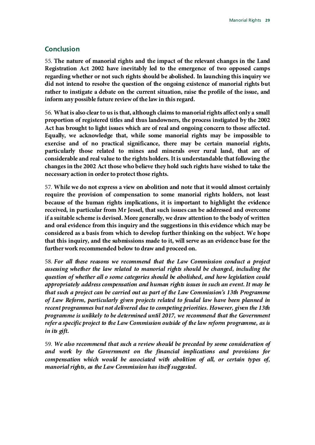#### <span id="page-32-0"></span>**Conclusion**

55. **The nature of manorial rights and the impact of the relevant changes in the Land Registration Act 2002 have inevitably led to the emergence of two opposed camps regarding whether or not such rights should be abolished. In launching this inquiry we did not intend to resolve the question of the ongoing existence of manorial rights but rather to instigate a debate on the current situation, raise the profile of the issue, and inform any possible future review of the law in this regard.**

56. **What is also clear to us is that, although claims to manorial rights affect only a small proportion of registered titles and thus landowners, the process instigated by the 2002 Act has brought to light issues which are of real and ongoing concern to those affected. Equally, we acknowledge that, while some manorial rights may be impossible to exercise and of no practical significance, there may be certain manorial rights, particularly those related to mines and minerals over rural land, that are of considerable and real value to the rights holders. It is understandable that following the changes in the 2002 Act those who believe they hold such rights have wished to take the necessary action in order to protect those rights.**

57. **While we do not express a view on abolition and note that it would almost certainly require the provision of compensation to some manorial rights holders, not least because of the human rights implications, it is important to highlight the evidence received, in particular from Mr Jessel, that such issues can be addressed and overcome if a suitable scheme is devised. More generally, we draw attention to the body of written and oral evidence from this inquiry and the suggestions in this evidence which may be considered as a basis from which to develop further thinking on the subject. We hope that this inquiry, and the submissions made to it, will serve as an evidence base for the further work recommended below to draw and proceed on.**

58. *For all these reasons we recommend that the Law Commission conduct a project assessing whether the law related to manorial rights should be changed, including the question of whether all o some categories should be abolished, and how legislation could appropriately address compensation and human rights issues in such an event. It may be that such a project can be carried out as part of the Law Commission's 13th Programme of Law Reform, particularly given projects related to feudal law have been planned in recent programmes but not delivered due to competing priorities. However, given the 13th programme is unlikely to be determined until 2017, we recommend that the Government refer a specific project to the Law Commission outside of the law reform programme, as is in its gift.*

59. *We also recommend that such a review should be preceded by some consideration of and work by the Government on the financial implications and provisions for compensation which would be associated with abolition of all, or certain types of, manorial rights, as the Law Commission has itself suggested.*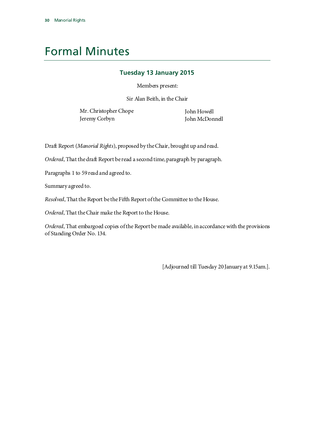# <span id="page-33-0"></span>Formal Minutes

#### **Tuesday 13 January 2015**

Members present:

Sir Alan Beith, in the Chair

Mr. Christopher Chope John Howell Jeremy Corbyn John McDonnell

Draft Report (*Manorial Rights*), proposed by the Chair, brought up and read.

*Ordered*, That the draft Report be read a second time, paragraph by paragraph.

Paragraphs 1 to 59 read and agreed to.

Summary agreed to.

*Resolved*, That the Report be the Fifth Report of the Committee to the House.

*Ordered*, That the Chair make the Report to the House.

*Ordered*, That embargoed copies of the Report be made available, in accordance with the provisions of Standing Order No. 134.

[Adjourned till Tuesday 20 January at 9.15am.].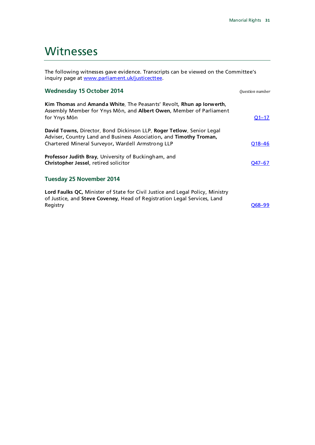### <span id="page-34-0"></span>**Witnesses**

The following witnesses gave evidence. Transcripts can be viewed on the Committee's inquiry page at [www.parliament.uk/justicecttee.](http://www.parliament.uk/justicecttee)

#### **Wednesday 15 October 2014** *Question number*

| Kim Thomas and Amanda White, The Peasants' Revolt, Rhun ap Iorwerth,<br>Assembly Member for Ynys Môn, and Albert Owen, Member of Parliament<br>for Ynys Môn                                       | $O1 - 17$  |
|---------------------------------------------------------------------------------------------------------------------------------------------------------------------------------------------------|------------|
| David Towns, Director, Bond Dickinson LLP, Roger Tetlow, Senior Legal<br>Adviser, Country Land and Business Association, and Timothy Troman,<br>Chartered Mineral Surveyor, Wardell Armstrong LLP | $O18 - 46$ |
| Professor Judith Bray, University of Buckingham, and<br>Christopher Jessel, retired solicitor                                                                                                     | O47-67     |
| <b>Tuesday 25 November 2014</b>                                                                                                                                                                   |            |

**Lord Faulks QC,** Minister of State for Civil Justice and Legal Policy, Ministry of Justice, and **Steve Coveney**, Head of Registration Legal Services, Land Registry [Q68–99](http://data.parliament.uk/writtenevidence/committeeevidence.svc/evidencedocument/justice-committee/manorial-rights/oral/15812.html)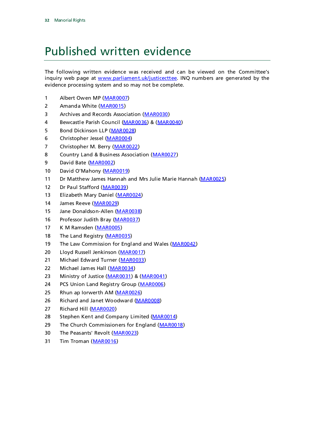# <span id="page-35-0"></span>Published written evidence

The following written evidence was received and can be viewed on the Committee's inquiry web page at [www.parliament.uk/justicecttee.](http://www.parliament.uk/justicecttee) INQ numbers are generated by the evidence processing system and so may not be complete.

- 1 Albert Owen MP [\(MAR0007\)](http://data.parliament.uk/WrittenEvidence/CommitteeEvidence.svc/EvidenceDocument/Justice/Manorial%20rights/written/11830.html)
- 2 Amanda White [\(MAR0015\)](http://data.parliament.uk/WrittenEvidence/CommitteeEvidence.svc/EvidenceDocument/Justice/Manorial%20rights/written/11986.html)
- 3 Archives and Records Association [\(MAR0030\)](http://data.parliament.uk/WrittenEvidence/CommitteeEvidence.svc/EvidenceDocument/Justice/Manorial%20rights/written/12338.html)
- 4 Bewcastle Parish Council [\(MAR0036\)](http://data.parliament.uk/WrittenEvidence/CommitteeEvidence.svc/EvidenceDocument/Justice/Manorial%20rights/written/13629.html) & [\(MAR0040\)](http://data.parliament.uk/WrittenEvidence/CommitteeEvidence.svc/EvidenceDocument/Justice/Manorial%20rights/written/15389.html)
- 5 Bond Dickinson LLP [\(MAR0028\)](http://data.parliament.uk/WrittenEvidence/CommitteeEvidence.svc/EvidenceDocument/Justice/Manorial%20rights/written/12300.html)
- 6 Christopher Jessel [\(MAR0004\)](http://data.parliament.uk/WrittenEvidence/CommitteeEvidence.svc/EvidenceDocument/Justice/Manorial%20rights/written/11655.html)
- 7 Christopher M. Berry [\(MAR0022\)](http://data.parliament.uk/WrittenEvidence/CommitteeEvidence.svc/EvidenceDocument/Justice/Manorial%20rights/written/12217.html)
- 8 Country Land & Business Association [\(MAR0027\)](http://data.parliament.uk/WrittenEvidence/CommitteeEvidence.svc/EvidenceDocument/Justice/Manorial%20rights/written/12283.html)
- 9 David Bate [\(MAR0002\)](http://data.parliament.uk/WrittenEvidence/CommitteeEvidence.svc/EvidenceDocument/Justice/Manorial%20rights/written/11124.html)
- 10 David O'Mahony [\(MAR0019\)](http://data.parliament.uk/WrittenEvidence/CommitteeEvidence.svc/EvidenceDocument/Justice/Manorial%20rights/written/12193.html)
- 11 Dr Matthew James Hannah and Mrs Julie Marie Hannah [\(MAR0025\)](http://data.parliament.uk/WrittenEvidence/CommitteeEvidence.svc/EvidenceDocument/Justice/Manorial%20rights/written/12222.html)
- 12 Dr Paul Stafford [\(MAR0039\)](http://data.parliament.uk/WrittenEvidence/CommitteeEvidence.svc/EvidenceDocument/Justice/Manorial%20rights/written/14866.html)
- 13 Elizabeth Mary Daniel [\(MAR0024\)](http://data.parliament.uk/WrittenEvidence/CommitteeEvidence.svc/EvidenceDocument/Justice/Manorial%20rights/written/12220.html)
- 14 James Reeve [\(MAR0029\)](http://data.parliament.uk/WrittenEvidence/CommitteeEvidence.svc/EvidenceDocument/Justice/Manorial%20rights/written/12333.html)
- 15 Jane Donaldson-Allen [\(MAR0038\)](http://data.parliament.uk/WrittenEvidence/CommitteeEvidence.svc/EvidenceDocument/Justice/Manorial%20rights/written/14835.html)
- 16 Professor Judith Bray [\(MAR0037\)](http://data.parliament.uk/WrittenEvidence/CommitteeEvidence.svc/EvidenceDocument/Justice/Manorial%20rights/written/13675.html)
- 17 K M Ramsden [\(MAR0005\)](http://data.parliament.uk/WrittenEvidence/CommitteeEvidence.svc/EvidenceDocument/Justice/Manorial%20rights/written/11671.html)
- 18 The Land Registry [\(MAR0035\)](http://data.parliament.uk/WrittenEvidence/CommitteeEvidence.svc/EvidenceDocument/Justice/Manorial%20rights/written/13556.html)
- 19 The Law Commission for England and Wales [\(MAR0042\)](http://data.parliament.uk/WrittenEvidence/CommitteeEvidence.svc/EvidenceDocument/Justice/Manorial%20rights/written/16023.html)
- 20 Lloyd Russell Jenkinson [\(MAR0017\)](http://data.parliament.uk/WrittenEvidence/CommitteeEvidence.svc/EvidenceDocument/Justice/Manorial%20rights/written/12161.html)
- 21 Michael Edward Turner [\(MAR0033\)](http://data.parliament.uk/WrittenEvidence/CommitteeEvidence.svc/EvidenceDocument/Justice/Manorial%20rights/written/12806.html)
- 22 Michael James Hall [\(MAR0034\)](http://data.parliament.uk/WrittenEvidence/CommitteeEvidence.svc/EvidenceDocument/Justice/Manorial%20rights/written/12828.html)
- 23 Ministry of Justice [\(MAR0031\)](http://data.parliament.uk/WrittenEvidence/CommitteeEvidence.svc/EvidenceDocument/Justice/Manorial%20rights/written/12513.html) & [\(MAR0041\)](http://data.parliament.uk/WrittenEvidence/CommitteeEvidence.svc/EvidenceDocument/Justice/Manorial%20rights/written/16021.html)
- 24 PCS Union Land Registry Group [\(MAR0006\)](http://data.parliament.uk/WrittenEvidence/CommitteeEvidence.svc/EvidenceDocument/Justice/Manorial%20rights/written/11726.html)
- 25 Rhun ap Iorwerth AM [\(MAR0026\)](http://data.parliament.uk/WrittenEvidence/CommitteeEvidence.svc/EvidenceDocument/Justice/Manorial%20rights/written/12228.html)
- 26 Richard and Janet Woodward [\(MAR0008\)](http://data.parliament.uk/WrittenEvidence/CommitteeEvidence.svc/EvidenceDocument/Justice/Manorial%20rights/written/11833.html)
- 27 Richard Hill [\(MAR0020\)](http://data.parliament.uk/WrittenEvidence/CommitteeEvidence.svc/EvidenceDocument/Justice/Manorial%20rights/written/12209.html)
- 28 Stephen Kent and Company Limited [\(MAR0014\)](http://data.parliament.uk/writtenevidence/committeeevidence.svc/evidencedocument/justice-committee/manorial-rights/written/11963.pdf)
- 29 The Church Commissioners for England [\(MAR0018\)](http://data.parliament.uk/WrittenEvidence/CommitteeEvidence.svc/EvidenceDocument/Justice/Manorial%20rights/written/12162.html)
- 30 The Peasants' Revolt [\(MAR0023\)](http://data.parliament.uk/WrittenEvidence/CommitteeEvidence.svc/EvidenceDocument/Justice/Manorial%20rights/written/12219.html)
- 31 Tim Troman [\(MAR0016\)](http://data.parliament.uk/WrittenEvidence/CommitteeEvidence.svc/EvidenceDocument/Justice/Manorial%20rights/written/12144.html)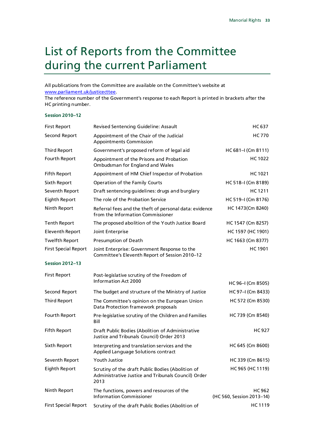## <span id="page-36-0"></span>List of Reports from the Committee during the current Parliament

All publications from the Committee are available on the Committee's website at [www.parliament.uk/justicecttee.](http://www.parliament.uk/joint-enterprise-follow-up)

The reference number of the Government's response to each Report is printed in brackets after the HC printing number.

#### **Session 2010–12**

| <b>First Report</b>         | Revised Sentencing Guideline: Assault                                                                            | HC 637                                     |
|-----------------------------|------------------------------------------------------------------------------------------------------------------|--------------------------------------------|
| Second Report               | Appointment of the Chair of the Judicial<br><b>Appointments Commission</b>                                       | HC 770                                     |
| <b>Third Report</b>         | Government's proposed reform of legal aid                                                                        | $HC 681 - I (Cm 8111)$                     |
| Fourth Report               | Appointment of the Prisons and Probation<br>Ombudsman for England and Wales                                      | HC 1022                                    |
| <b>Fifth Report</b>         | Appointment of HM Chief Inspector of Probation                                                                   | HC 1021                                    |
| Sixth Report                | Operation of the Family Courts                                                                                   | HC 518-I (Cm 8189)                         |
| Seventh Report              | Draft sentencing guidelines: drugs and burglary                                                                  | HC 1211                                    |
| Eighth Report               | The role of the Probation Service                                                                                | HC 519-I (Cm 8176)                         |
| Ninth Report                | Referral fees and the theft of personal data: evidence<br>from the Information Commissioner                      | HC 1473(Cm 8240)                           |
| Tenth Report                | The proposed abolition of the Youth Justice Board                                                                | HC 1547 (Cm 8257)                          |
| <b>Eleventh Report</b>      | Joint Enterprise                                                                                                 | HC 1597 (HC 1901)                          |
| <b>Twelfth Report</b>       | Presumption of Death                                                                                             | HC 1663 (Cm 8377)                          |
| <b>First Special Report</b> | Joint Enterprise: Government Response to the<br>Committee's Eleventh Report of Session 2010-12                   | <b>HC1901</b>                              |
| <b>Session 2012-13</b>      |                                                                                                                  |                                            |
| <b>First Report</b>         | Post-legislative scrutiny of the Freedom of<br>Information Act 2000                                              |                                            |
| Second Report               | The budget and structure of the Ministry of Justice                                                              | HC 96–I (Cm 8505)<br>HC 97-I (Cm 8433)     |
| <b>Third Report</b>         |                                                                                                                  | HC 572 (Cm 8530)                           |
|                             | The Committee's opinion on the European Union<br>Data Protection framework proposals                             |                                            |
| Fourth Report               | Pre-legislative scrutiny of the Children and Families<br>Bill                                                    | HC 739 (Cm 8540)                           |
| <b>Fifth Report</b>         | Draft Public Bodies (Abolition of Administrative<br>Justice and Tribunals Council) Order 2013                    | <b>HC927</b>                               |
| Sixth Report                | Interpreting and translation services and the<br>Applied Language Solutions contract                             | HC 645 (Cm 8600)                           |
| Seventh Report              | Youth Justice                                                                                                    | HC 339 (Cm 8615)                           |
| Eighth Report               | Scrutiny of the draft Public Bodies (Abolition of<br>Administrative Justice and Tribunals Council) Order<br>2013 | HC 965 (HC 1119)                           |
| Ninth Report                | The functions, powers and resources of the<br><b>Information Commissioner</b>                                    | <b>HC 962</b><br>(HC 560, Session 2013-14) |
| <b>First Special Report</b> | Scrutiny of the draft Public Bodies (Abolition of                                                                | HC 1119                                    |